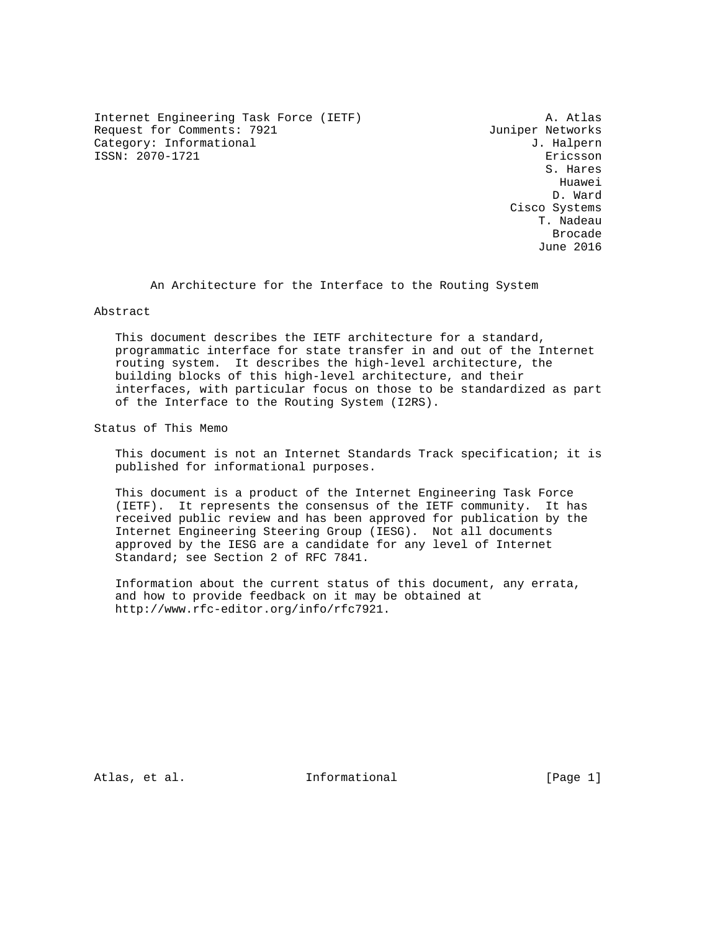Internet Engineering Task Force (IETF) A. Atlas Request for Comments: 7921 Juniper Networks Category: Informational  $J$ . Halpern ISSN: 2070-1721 Ericsson

 S. Hares he distributed by the control of the control of the control of the control of the control of the control of the control of the control of the control of the control of the control of the control of the control of the contr D. Ward Cisco Systems T. Nadeau de de la construcción de la construcción de la construcción de la construcción de la construcción de la construcción de la construcción de la construcción de la construcción de la construcción de la construcción de la cons June 2016

An Architecture for the Interface to the Routing System

Abstract

 This document describes the IETF architecture for a standard, programmatic interface for state transfer in and out of the Internet routing system. It describes the high-level architecture, the building blocks of this high-level architecture, and their interfaces, with particular focus on those to be standardized as part of the Interface to the Routing System (I2RS).

Status of This Memo

 This document is not an Internet Standards Track specification; it is published for informational purposes.

 This document is a product of the Internet Engineering Task Force (IETF). It represents the consensus of the IETF community. It has received public review and has been approved for publication by the Internet Engineering Steering Group (IESG). Not all documents approved by the IESG are a candidate for any level of Internet Standard; see Section 2 of RFC 7841.

 Information about the current status of this document, any errata, and how to provide feedback on it may be obtained at http://www.rfc-editor.org/info/rfc7921.

Atlas, et al. Informational [Page 1]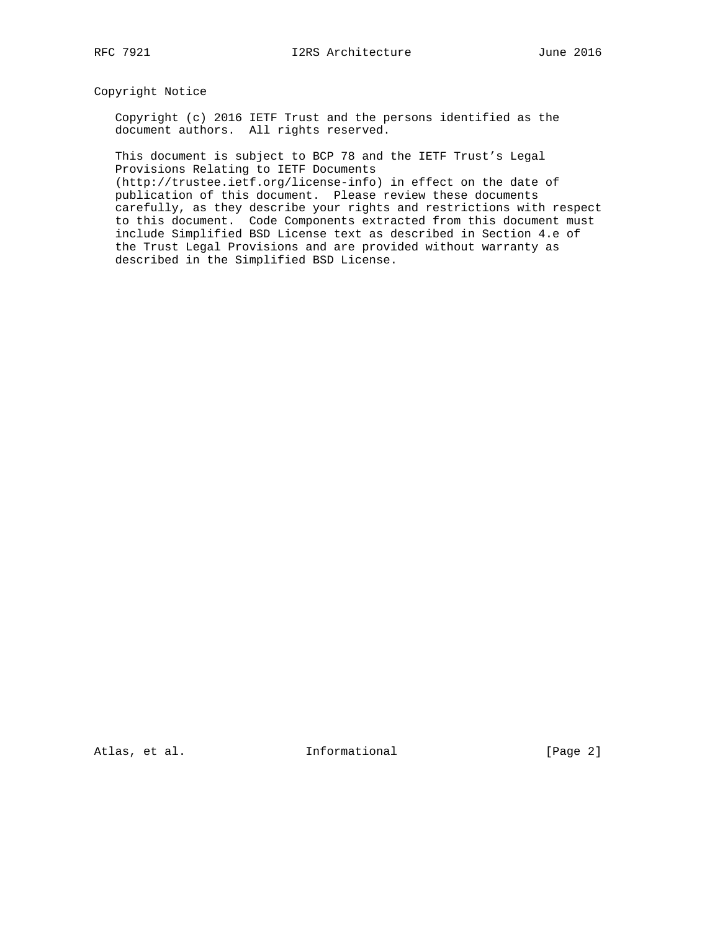# Copyright Notice

 Copyright (c) 2016 IETF Trust and the persons identified as the document authors. All rights reserved.

 This document is subject to BCP 78 and the IETF Trust's Legal Provisions Relating to IETF Documents

 (http://trustee.ietf.org/license-info) in effect on the date of publication of this document. Please review these documents carefully, as they describe your rights and restrictions with respect to this document. Code Components extracted from this document must include Simplified BSD License text as described in Section 4.e of the Trust Legal Provisions and are provided without warranty as described in the Simplified BSD License.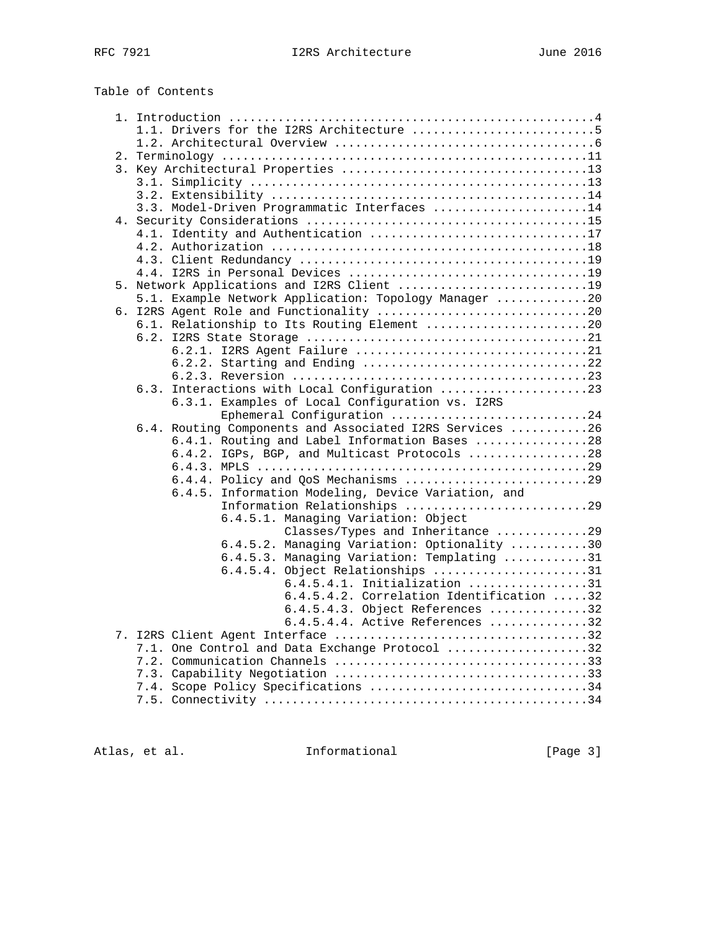# Table of Contents

|  | 1.1. Drivers for the I2RS Architecture 5                |  |
|--|---------------------------------------------------------|--|
|  |                                                         |  |
|  |                                                         |  |
|  |                                                         |  |
|  |                                                         |  |
|  |                                                         |  |
|  | 3.3. Model-Driven Programmatic Interfaces 14            |  |
|  |                                                         |  |
|  | 4.1. Identity and Authentication 17                     |  |
|  |                                                         |  |
|  |                                                         |  |
|  |                                                         |  |
|  | 5. Network Applications and I2RS Client 19              |  |
|  | 5.1. Example Network Application: Topology Manager 20   |  |
|  |                                                         |  |
|  |                                                         |  |
|  | 6.1. Relationship to Its Routing Element 20             |  |
|  |                                                         |  |
|  |                                                         |  |
|  | 6.2.2. Starting and Ending 22                           |  |
|  |                                                         |  |
|  | 6.3. Interactions with Local Configuration 23           |  |
|  | 6.3.1. Examples of Local Configuration vs. I2RS         |  |
|  | Ephemeral Configuration 24                              |  |
|  | 6.4. Routing Components and Associated I2RS Services 26 |  |
|  | 6.4.1. Routing and Label Information Bases 28           |  |
|  | 6.4.2. IGPs, BGP, and Multicast Protocols 28            |  |
|  |                                                         |  |
|  | 6.4.4. Policy and QoS Mechanisms 29                     |  |
|  | 6.4.5. Information Modeling, Device Variation, and      |  |
|  | Information Relationships 29                            |  |
|  | 6.4.5.1. Managing Variation: Object                     |  |
|  | Classes/Types and Inheritance 29                        |  |
|  | 6.4.5.2. Managing Variation: Optionality 30             |  |
|  | 6.4.5.3. Managing Variation: Templating 31              |  |
|  | 6.4.5.4. Object Relationships 31                        |  |
|  | $6.4.5.4.1.$ Initialization 31                          |  |
|  | 6.4.5.4.2. Correlation Identification 32                |  |
|  | $6.4.5.4.3.$ Object References 32                       |  |
|  | $6.4.5.4.4.$ Active References 32                       |  |
|  |                                                         |  |
|  | 7.1. One Control and Data Exchange Protocol 32          |  |
|  |                                                         |  |
|  |                                                         |  |
|  | 7.4. Scope Policy Specifications 34                     |  |
|  |                                                         |  |
|  |                                                         |  |

Atlas, et al. 1nformational 1999 [Page 3]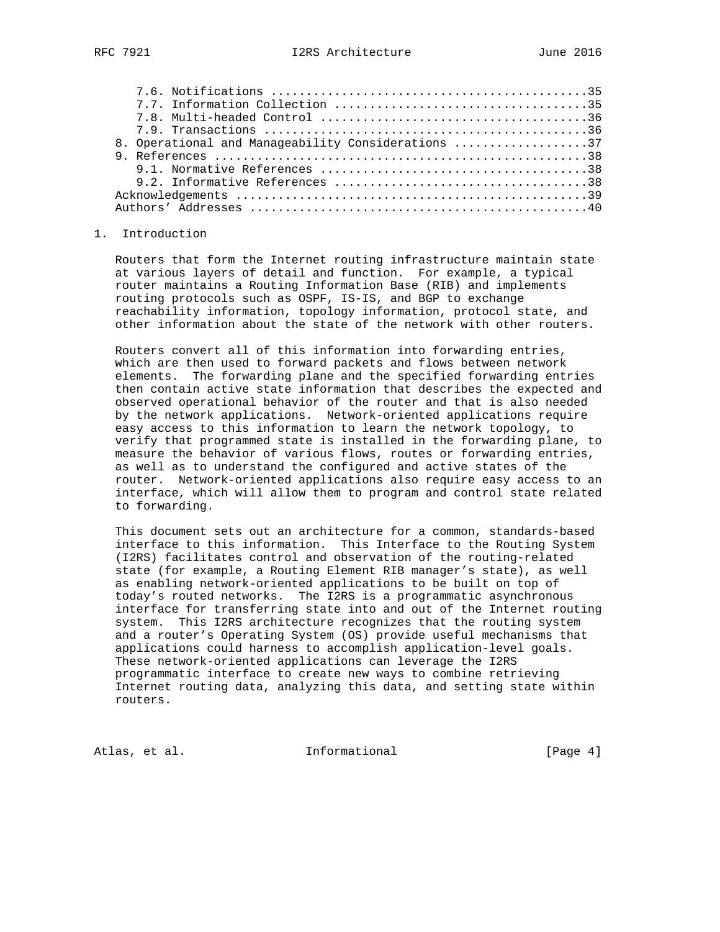| 8. Operational and Manageability Considerations 37 |  |
|----------------------------------------------------|--|
|                                                    |  |
|                                                    |  |
|                                                    |  |
|                                                    |  |
|                                                    |  |

#### 1. Introduction

 Routers that form the Internet routing infrastructure maintain state at various layers of detail and function. For example, a typical router maintains a Routing Information Base (RIB) and implements routing protocols such as OSPF, IS-IS, and BGP to exchange reachability information, topology information, protocol state, and other information about the state of the network with other routers.

 Routers convert all of this information into forwarding entries, which are then used to forward packets and flows between network elements. The forwarding plane and the specified forwarding entries then contain active state information that describes the expected and observed operational behavior of the router and that is also needed by the network applications. Network-oriented applications require easy access to this information to learn the network topology, to verify that programmed state is installed in the forwarding plane, to measure the behavior of various flows, routes or forwarding entries, as well as to understand the configured and active states of the router. Network-oriented applications also require easy access to an interface, which will allow them to program and control state related to forwarding.

 This document sets out an architecture for a common, standards-based interface to this information. This Interface to the Routing System (I2RS) facilitates control and observation of the routing-related state (for example, a Routing Element RIB manager's state), as well as enabling network-oriented applications to be built on top of today's routed networks. The I2RS is a programmatic asynchronous interface for transferring state into and out of the Internet routing system. This I2RS architecture recognizes that the routing system and a router's Operating System (OS) provide useful mechanisms that applications could harness to accomplish application-level goals. These network-oriented applications can leverage the I2RS programmatic interface to create new ways to combine retrieving Internet routing data, analyzing this data, and setting state within routers.

Atlas, et al. 1nformational 1998 [Page 4]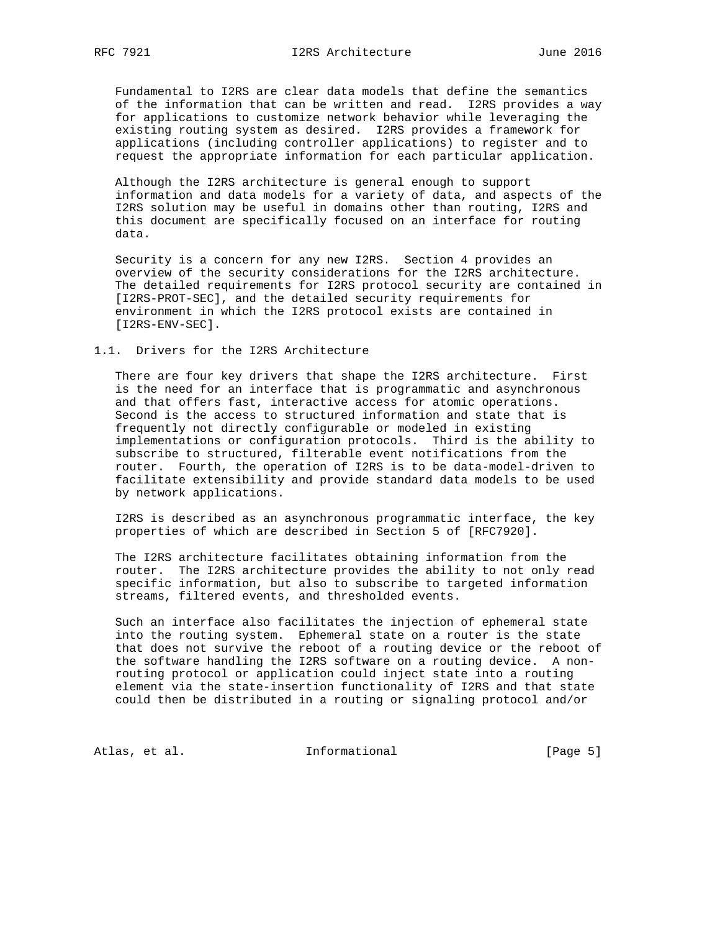Fundamental to I2RS are clear data models that define the semantics of the information that can be written and read. I2RS provides a way for applications to customize network behavior while leveraging the existing routing system as desired. I2RS provides a framework for applications (including controller applications) to register and to request the appropriate information for each particular application.

 Although the I2RS architecture is general enough to support information and data models for a variety of data, and aspects of the I2RS solution may be useful in domains other than routing, I2RS and this document are specifically focused on an interface for routing data.

 Security is a concern for any new I2RS. Section 4 provides an overview of the security considerations for the I2RS architecture. The detailed requirements for I2RS protocol security are contained in [I2RS-PROT-SEC], and the detailed security requirements for environment in which the I2RS protocol exists are contained in [I2RS-ENV-SEC].

#### 1.1. Drivers for the I2RS Architecture

 There are four key drivers that shape the I2RS architecture. First is the need for an interface that is programmatic and asynchronous and that offers fast, interactive access for atomic operations. Second is the access to structured information and state that is frequently not directly configurable or modeled in existing implementations or configuration protocols. Third is the ability to subscribe to structured, filterable event notifications from the router. Fourth, the operation of I2RS is to be data-model-driven to facilitate extensibility and provide standard data models to be used by network applications.

 I2RS is described as an asynchronous programmatic interface, the key properties of which are described in Section 5 of [RFC7920].

 The I2RS architecture facilitates obtaining information from the router. The I2RS architecture provides the ability to not only read specific information, but also to subscribe to targeted information streams, filtered events, and thresholded events.

 Such an interface also facilitates the injection of ephemeral state into the routing system. Ephemeral state on a router is the state that does not survive the reboot of a routing device or the reboot of the software handling the I2RS software on a routing device. A non routing protocol or application could inject state into a routing element via the state-insertion functionality of I2RS and that state could then be distributed in a routing or signaling protocol and/or

Atlas, et al. 1nformational 1999 [Page 5]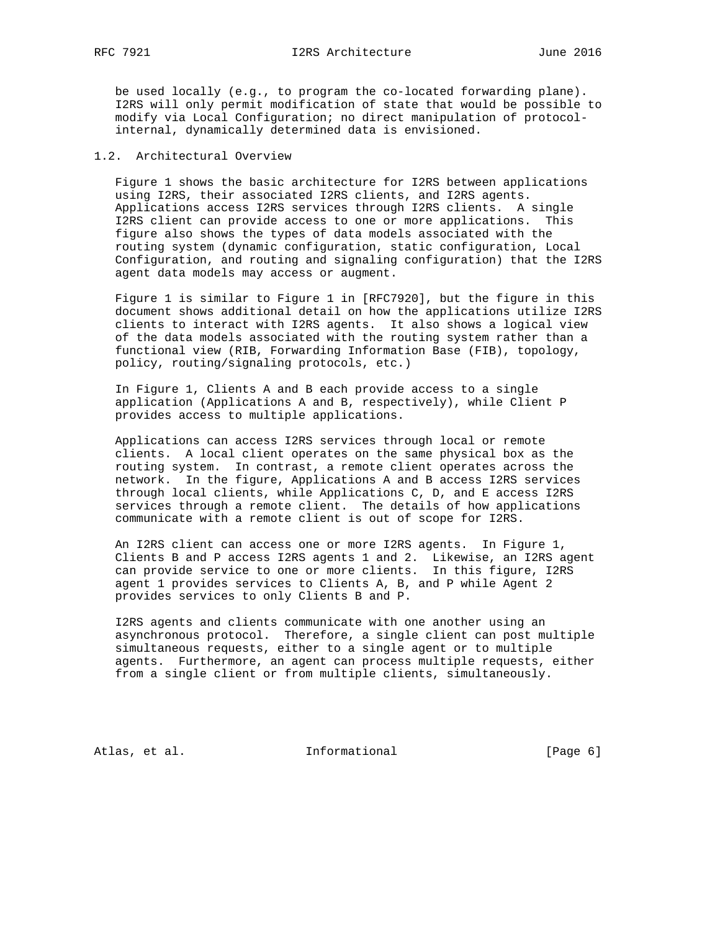be used locally (e.g., to program the co-located forwarding plane). I2RS will only permit modification of state that would be possible to modify via Local Configuration; no direct manipulation of protocol internal, dynamically determined data is envisioned.

# 1.2. Architectural Overview

 Figure 1 shows the basic architecture for I2RS between applications using I2RS, their associated I2RS clients, and I2RS agents. Applications access I2RS services through I2RS clients. A single I2RS client can provide access to one or more applications. This figure also shows the types of data models associated with the routing system (dynamic configuration, static configuration, Local Configuration, and routing and signaling configuration) that the I2RS agent data models may access or augment.

 Figure 1 is similar to Figure 1 in [RFC7920], but the figure in this document shows additional detail on how the applications utilize I2RS clients to interact with I2RS agents. It also shows a logical view of the data models associated with the routing system rather than a functional view (RIB, Forwarding Information Base (FIB), topology, policy, routing/signaling protocols, etc.)

 In Figure 1, Clients A and B each provide access to a single application (Applications A and B, respectively), while Client P provides access to multiple applications.

 Applications can access I2RS services through local or remote clients. A local client operates on the same physical box as the routing system. In contrast, a remote client operates across the network. In the figure, Applications A and B access I2RS services through local clients, while Applications C, D, and E access I2RS services through a remote client. The details of how applications communicate with a remote client is out of scope for I2RS.

 An I2RS client can access one or more I2RS agents. In Figure 1, Clients B and P access I2RS agents 1 and 2. Likewise, an I2RS agent can provide service to one or more clients. In this figure, I2RS agent 1 provides services to Clients A, B, and P while Agent 2 provides services to only Clients B and P.

 I2RS agents and clients communicate with one another using an asynchronous protocol. Therefore, a single client can post multiple simultaneous requests, either to a single agent or to multiple agents. Furthermore, an agent can process multiple requests, either from a single client or from multiple clients, simultaneously.

Atlas, et al. 1nformational 1999 [Page 6]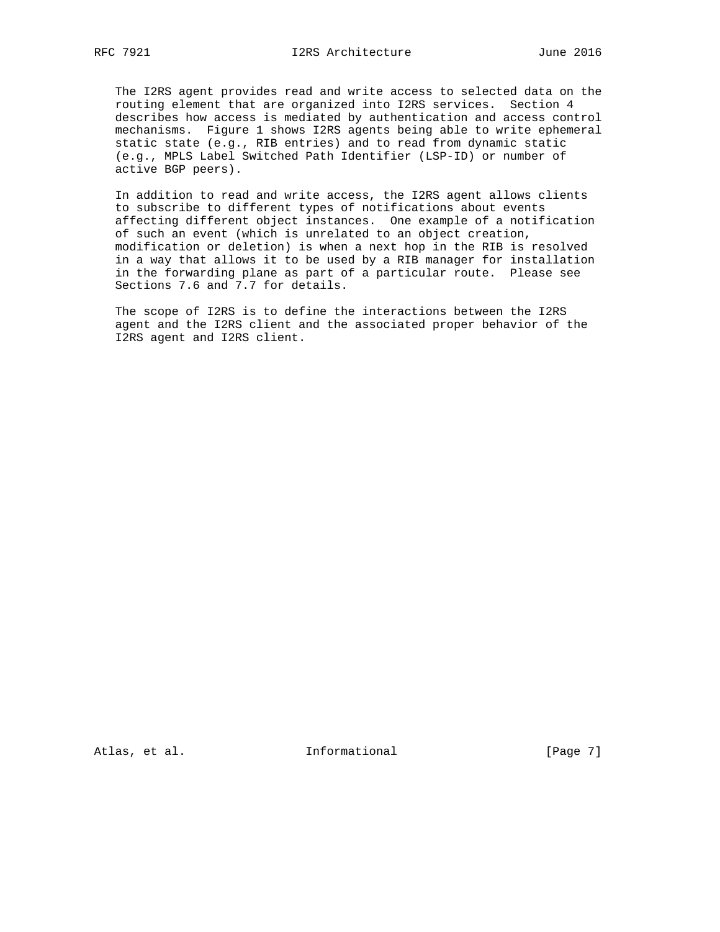The I2RS agent provides read and write access to selected data on the routing element that are organized into I2RS services. Section 4 describes how access is mediated by authentication and access control mechanisms. Figure 1 shows I2RS agents being able to write ephemeral static state (e.g., RIB entries) and to read from dynamic static (e.g., MPLS Label Switched Path Identifier (LSP-ID) or number of active BGP peers).

 In addition to read and write access, the I2RS agent allows clients to subscribe to different types of notifications about events affecting different object instances. One example of a notification of such an event (which is unrelated to an object creation, modification or deletion) is when a next hop in the RIB is resolved in a way that allows it to be used by a RIB manager for installation in the forwarding plane as part of a particular route. Please see Sections 7.6 and 7.7 for details.

 The scope of I2RS is to define the interactions between the I2RS agent and the I2RS client and the associated proper behavior of the I2RS agent and I2RS client.

Atlas, et al. 1nformational 1999 [Page 7]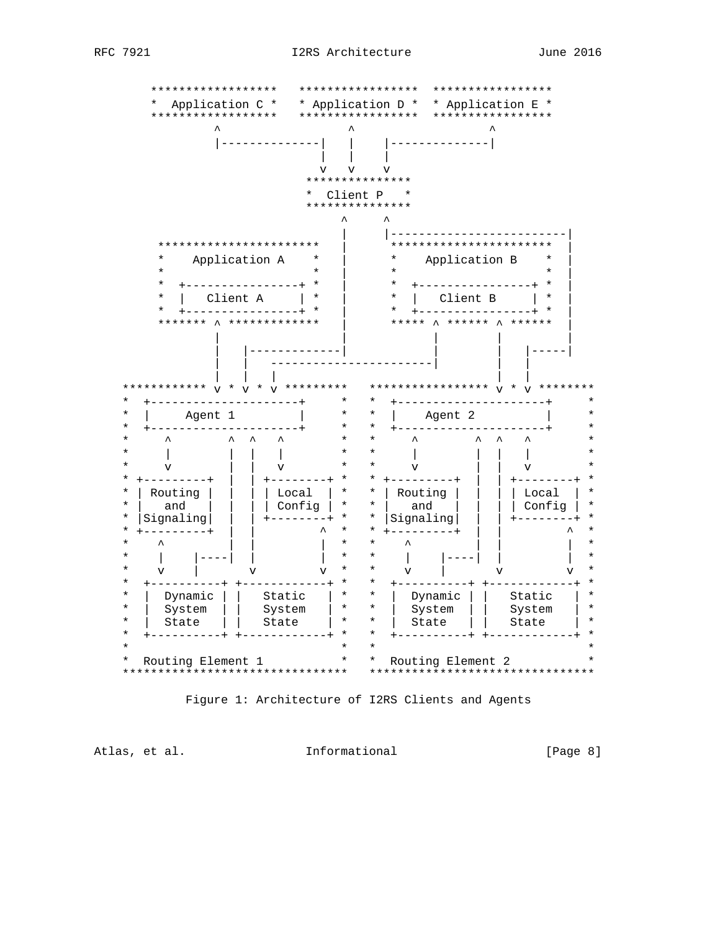

Figure 1: Architecture of I2RS Clients and Agents

Atlas, et al. 1nformational

 $[Page 8]$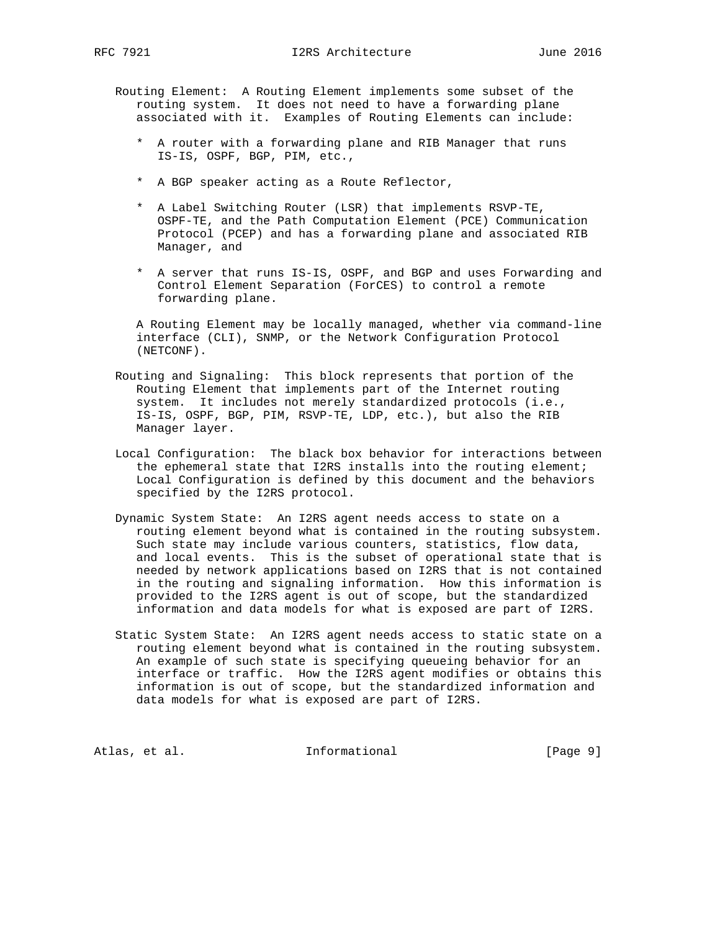- Routing Element: A Routing Element implements some subset of the routing system. It does not need to have a forwarding plane associated with it. Examples of Routing Elements can include:
	- \* A router with a forwarding plane and RIB Manager that runs IS-IS, OSPF, BGP, PIM, etc.,
	- \* A BGP speaker acting as a Route Reflector,
	- \* A Label Switching Router (LSR) that implements RSVP-TE, OSPF-TE, and the Path Computation Element (PCE) Communication Protocol (PCEP) and has a forwarding plane and associated RIB Manager, and
	- \* A server that runs IS-IS, OSPF, and BGP and uses Forwarding and Control Element Separation (ForCES) to control a remote forwarding plane.

 A Routing Element may be locally managed, whether via command-line interface (CLI), SNMP, or the Network Configuration Protocol (NETCONF).

- Routing and Signaling: This block represents that portion of the Routing Element that implements part of the Internet routing system. It includes not merely standardized protocols (i.e., IS-IS, OSPF, BGP, PIM, RSVP-TE, LDP, etc.), but also the RIB Manager layer.
- Local Configuration: The black box behavior for interactions between the ephemeral state that I2RS installs into the routing element; Local Configuration is defined by this document and the behaviors specified by the I2RS protocol.
- Dynamic System State: An I2RS agent needs access to state on a routing element beyond what is contained in the routing subsystem. Such state may include various counters, statistics, flow data, and local events. This is the subset of operational state that is needed by network applications based on I2RS that is not contained in the routing and signaling information. How this information is provided to the I2RS agent is out of scope, but the standardized information and data models for what is exposed are part of I2RS.
- Static System State: An I2RS agent needs access to static state on a routing element beyond what is contained in the routing subsystem. An example of such state is specifying queueing behavior for an interface or traffic. How the I2RS agent modifies or obtains this information is out of scope, but the standardized information and data models for what is exposed are part of I2RS.

Atlas, et al. 1nformational 1999 [Page 9]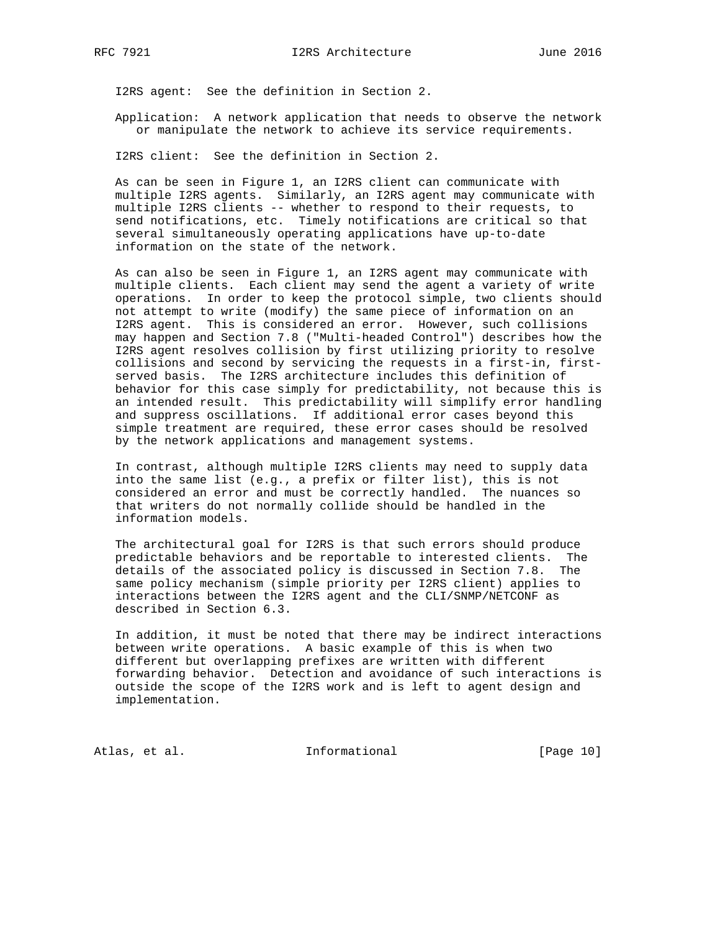I2RS agent: See the definition in Section 2.

 Application: A network application that needs to observe the network or manipulate the network to achieve its service requirements.

I2RS client: See the definition in Section 2.

 As can be seen in Figure 1, an I2RS client can communicate with multiple I2RS agents. Similarly, an I2RS agent may communicate with multiple I2RS clients -- whether to respond to their requests, to send notifications, etc. Timely notifications are critical so that several simultaneously operating applications have up-to-date information on the state of the network.

 As can also be seen in Figure 1, an I2RS agent may communicate with multiple clients. Each client may send the agent a variety of write operations. In order to keep the protocol simple, two clients should not attempt to write (modify) the same piece of information on an I2RS agent. This is considered an error. However, such collisions may happen and Section 7.8 ("Multi-headed Control") describes how the I2RS agent resolves collision by first utilizing priority to resolve collisions and second by servicing the requests in a first-in, first served basis. The I2RS architecture includes this definition of behavior for this case simply for predictability, not because this is an intended result. This predictability will simplify error handling and suppress oscillations. If additional error cases beyond this simple treatment are required, these error cases should be resolved by the network applications and management systems.

 In contrast, although multiple I2RS clients may need to supply data into the same list (e.g., a prefix or filter list), this is not considered an error and must be correctly handled. The nuances so that writers do not normally collide should be handled in the information models.

 The architectural goal for I2RS is that such errors should produce predictable behaviors and be reportable to interested clients. The details of the associated policy is discussed in Section 7.8. The same policy mechanism (simple priority per I2RS client) applies to interactions between the I2RS agent and the CLI/SNMP/NETCONF as described in Section 6.3.

 In addition, it must be noted that there may be indirect interactions between write operations. A basic example of this is when two different but overlapping prefixes are written with different forwarding behavior. Detection and avoidance of such interactions is outside the scope of the I2RS work and is left to agent design and implementation.

Atlas, et al. 1nformational [Page 10]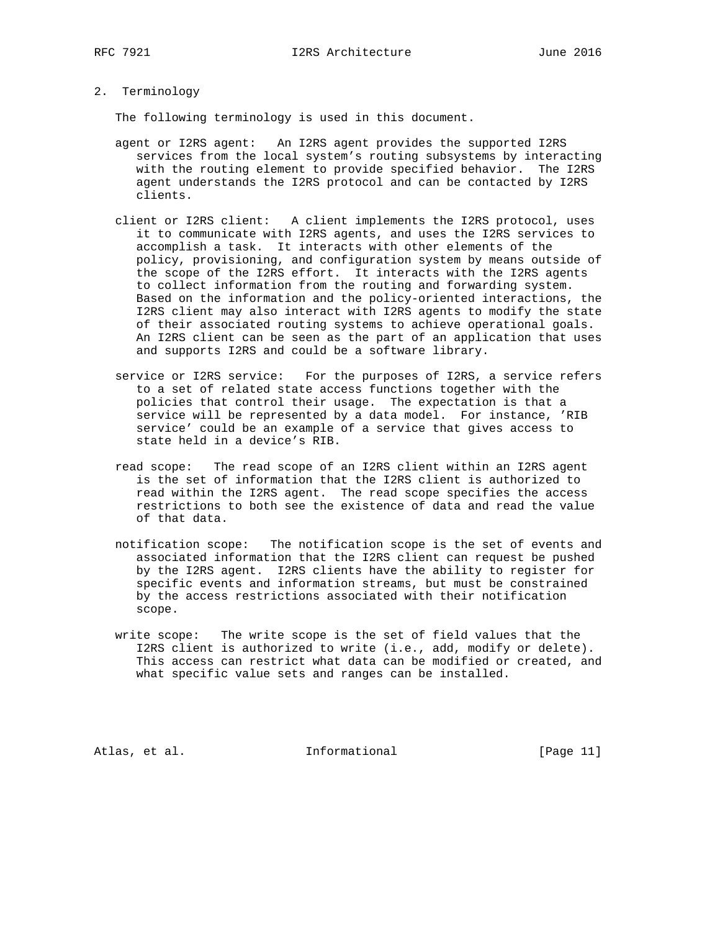2. Terminology

The following terminology is used in this document.

- agent or I2RS agent: An I2RS agent provides the supported I2RS services from the local system's routing subsystems by interacting with the routing element to provide specified behavior. The I2RS agent understands the I2RS protocol and can be contacted by I2RS clients.
- client or I2RS client: A client implements the I2RS protocol, uses it to communicate with I2RS agents, and uses the I2RS services to accomplish a task. It interacts with other elements of the policy, provisioning, and configuration system by means outside of the scope of the I2RS effort. It interacts with the I2RS agents to collect information from the routing and forwarding system. Based on the information and the policy-oriented interactions, the I2RS client may also interact with I2RS agents to modify the state of their associated routing systems to achieve operational goals. An I2RS client can be seen as the part of an application that uses and supports I2RS and could be a software library.
- service or I2RS service: For the purposes of I2RS, a service refers to a set of related state access functions together with the policies that control their usage. The expectation is that a service will be represented by a data model. For instance, 'RIB service' could be an example of a service that gives access to state held in a device's RIB.
- read scope: The read scope of an I2RS client within an I2RS agent is the set of information that the I2RS client is authorized to read within the I2RS agent. The read scope specifies the access restrictions to both see the existence of data and read the value of that data.
- notification scope: The notification scope is the set of events and associated information that the I2RS client can request be pushed by the I2RS agent. I2RS clients have the ability to register for specific events and information streams, but must be constrained by the access restrictions associated with their notification scope.
- write scope: The write scope is the set of field values that the I2RS client is authorized to write (i.e., add, modify or delete). This access can restrict what data can be modified or created, and what specific value sets and ranges can be installed.

Atlas, et al. 1nformational [Page 11]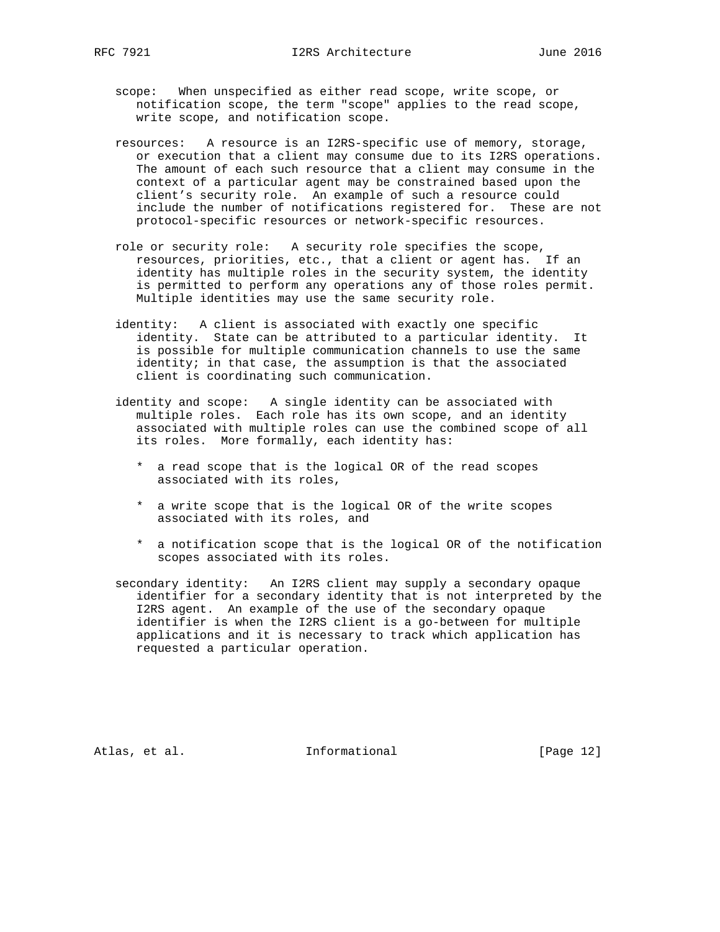- scope: When unspecified as either read scope, write scope, or notification scope, the term "scope" applies to the read scope, write scope, and notification scope.
- resources: A resource is an I2RS-specific use of memory, storage, or execution that a client may consume due to its I2RS operations. The amount of each such resource that a client may consume in the context of a particular agent may be constrained based upon the client's security role. An example of such a resource could include the number of notifications registered for. These are not protocol-specific resources or network-specific resources.
- role or security role: A security role specifies the scope, resources, priorities, etc., that a client or agent has. If an identity has multiple roles in the security system, the identity is permitted to perform any operations any of those roles permit. Multiple identities may use the same security role.
- identity: A client is associated with exactly one specific identity. State can be attributed to a particular identity. It is possible for multiple communication channels to use the same identity; in that case, the assumption is that the associated client is coordinating such communication.
- identity and scope: A single identity can be associated with multiple roles. Each role has its own scope, and an identity associated with multiple roles can use the combined scope of all its roles. More formally, each identity has:
	- \* a read scope that is the logical OR of the read scopes associated with its roles,
	- \* a write scope that is the logical OR of the write scopes associated with its roles, and
	- \* a notification scope that is the logical OR of the notification scopes associated with its roles.
- secondary identity: An I2RS client may supply a secondary opaque identifier for a secondary identity that is not interpreted by the I2RS agent. An example of the use of the secondary opaque identifier is when the I2RS client is a go-between for multiple applications and it is necessary to track which application has requested a particular operation.

Atlas, et al. 1nformational [Page 12]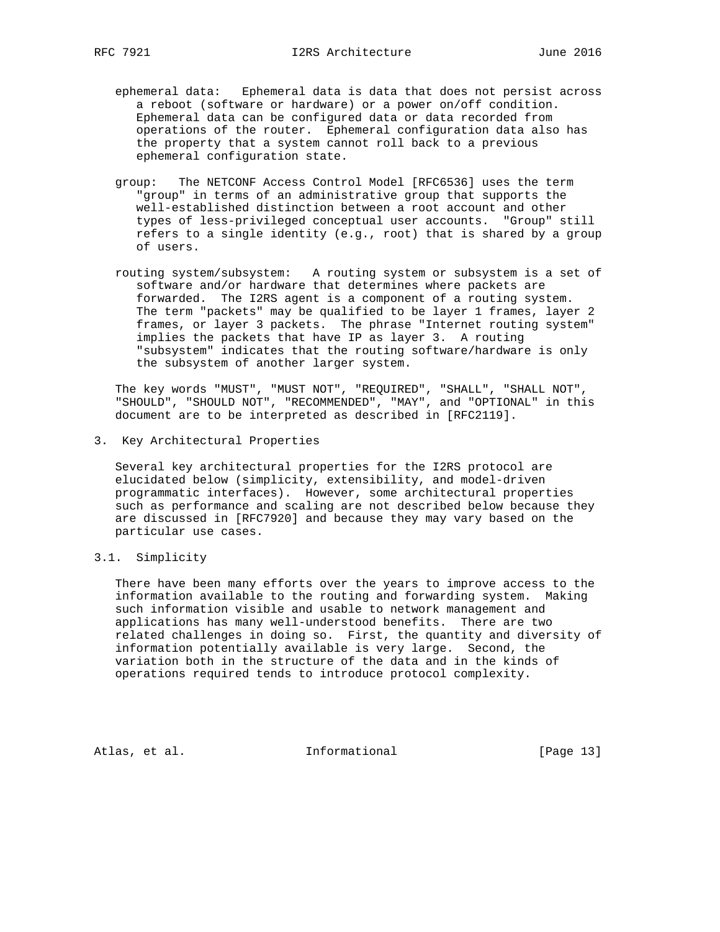- ephemeral data: Ephemeral data is data that does not persist across a reboot (software or hardware) or a power on/off condition. Ephemeral data can be configured data or data recorded from operations of the router. Ephemeral configuration data also has the property that a system cannot roll back to a previous ephemeral configuration state.
- group: The NETCONF Access Control Model [RFC6536] uses the term "group" in terms of an administrative group that supports the well-established distinction between a root account and other types of less-privileged conceptual user accounts. "Group" still refers to a single identity (e.g., root) that is shared by a group of users.
- routing system/subsystem: A routing system or subsystem is a set of software and/or hardware that determines where packets are forwarded. The I2RS agent is a component of a routing system. The term "packets" may be qualified to be layer 1 frames, layer 2 frames, or layer 3 packets. The phrase "Internet routing system" implies the packets that have IP as layer 3. A routing "subsystem" indicates that the routing software/hardware is only the subsystem of another larger system.

 The key words "MUST", "MUST NOT", "REQUIRED", "SHALL", "SHALL NOT", "SHOULD", "SHOULD NOT", "RECOMMENDED", "MAY", and "OPTIONAL" in this document are to be interpreted as described in [RFC2119].

3. Key Architectural Properties

 Several key architectural properties for the I2RS protocol are elucidated below (simplicity, extensibility, and model-driven programmatic interfaces). However, some architectural properties such as performance and scaling are not described below because they are discussed in [RFC7920] and because they may vary based on the particular use cases.

3.1. Simplicity

 There have been many efforts over the years to improve access to the information available to the routing and forwarding system. Making such information visible and usable to network management and applications has many well-understood benefits. There are two related challenges in doing so. First, the quantity and diversity of information potentially available is very large. Second, the variation both in the structure of the data and in the kinds of operations required tends to introduce protocol complexity.

Atlas, et al. 1nformational [Page 13]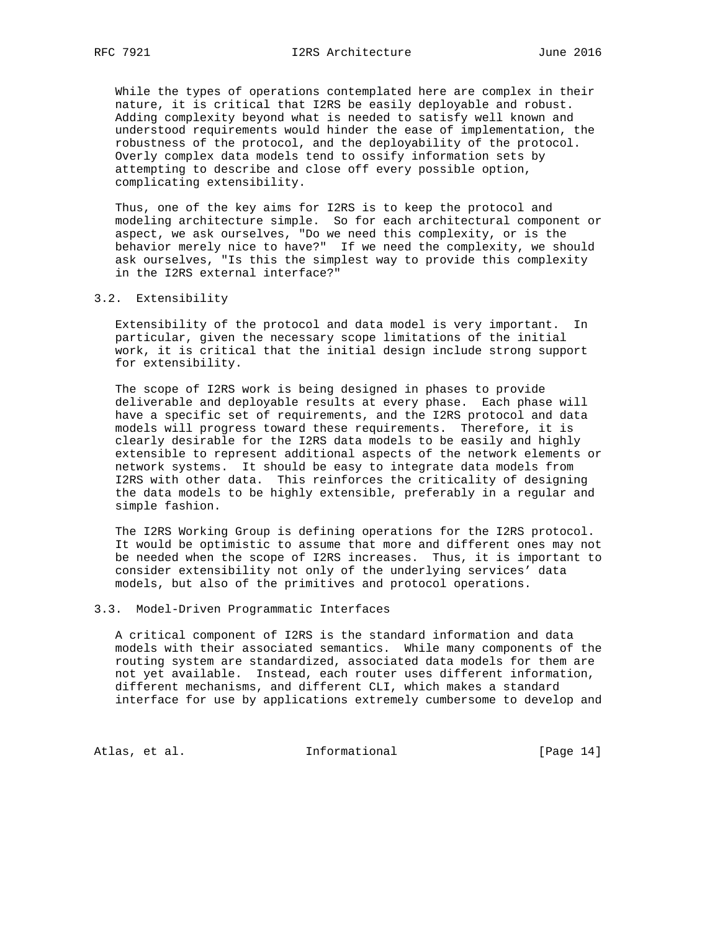While the types of operations contemplated here are complex in their nature, it is critical that I2RS be easily deployable and robust. Adding complexity beyond what is needed to satisfy well known and understood requirements would hinder the ease of implementation, the robustness of the protocol, and the deployability of the protocol. Overly complex data models tend to ossify information sets by attempting to describe and close off every possible option, complicating extensibility.

 Thus, one of the key aims for I2RS is to keep the protocol and modeling architecture simple. So for each architectural component or aspect, we ask ourselves, "Do we need this complexity, or is the behavior merely nice to have?" If we need the complexity, we should ask ourselves, "Is this the simplest way to provide this complexity in the I2RS external interface?"

3.2. Extensibility

 Extensibility of the protocol and data model is very important. In particular, given the necessary scope limitations of the initial work, it is critical that the initial design include strong support for extensibility.

 The scope of I2RS work is being designed in phases to provide deliverable and deployable results at every phase. Each phase will have a specific set of requirements, and the I2RS protocol and data models will progress toward these requirements. Therefore, it is clearly desirable for the I2RS data models to be easily and highly extensible to represent additional aspects of the network elements or network systems. It should be easy to integrate data models from I2RS with other data. This reinforces the criticality of designing the data models to be highly extensible, preferably in a regular and simple fashion.

 The I2RS Working Group is defining operations for the I2RS protocol. It would be optimistic to assume that more and different ones may not be needed when the scope of I2RS increases. Thus, it is important to consider extensibility not only of the underlying services' data models, but also of the primitives and protocol operations.

#### 3.3. Model-Driven Programmatic Interfaces

 A critical component of I2RS is the standard information and data models with their associated semantics. While many components of the routing system are standardized, associated data models for them are not yet available. Instead, each router uses different information, different mechanisms, and different CLI, which makes a standard interface for use by applications extremely cumbersome to develop and

Atlas, et al. 1nformational [Page 14]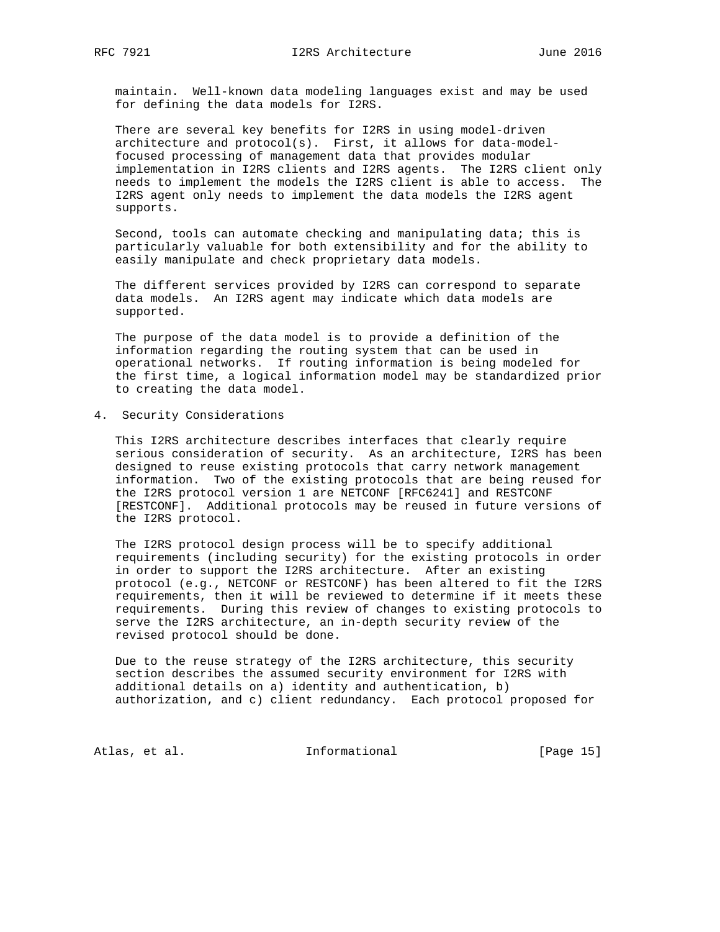maintain. Well-known data modeling languages exist and may be used for defining the data models for I2RS.

 There are several key benefits for I2RS in using model-driven architecture and protocol(s). First, it allows for data-model focused processing of management data that provides modular implementation in I2RS clients and I2RS agents. The I2RS client only needs to implement the models the I2RS client is able to access. The I2RS agent only needs to implement the data models the I2RS agent supports.

 Second, tools can automate checking and manipulating data; this is particularly valuable for both extensibility and for the ability to easily manipulate and check proprietary data models.

 The different services provided by I2RS can correspond to separate data models. An I2RS agent may indicate which data models are supported.

 The purpose of the data model is to provide a definition of the information regarding the routing system that can be used in operational networks. If routing information is being modeled for the first time, a logical information model may be standardized prior to creating the data model.

4. Security Considerations

 This I2RS architecture describes interfaces that clearly require serious consideration of security. As an architecture, I2RS has been designed to reuse existing protocols that carry network management information. Two of the existing protocols that are being reused for the I2RS protocol version 1 are NETCONF [RFC6241] and RESTCONF [RESTCONF]. Additional protocols may be reused in future versions of the I2RS protocol.

 The I2RS protocol design process will be to specify additional requirements (including security) for the existing protocols in order in order to support the I2RS architecture. After an existing protocol (e.g., NETCONF or RESTCONF) has been altered to fit the I2RS requirements, then it will be reviewed to determine if it meets these requirements. During this review of changes to existing protocols to serve the I2RS architecture, an in-depth security review of the revised protocol should be done.

 Due to the reuse strategy of the I2RS architecture, this security section describes the assumed security environment for I2RS with additional details on a) identity and authentication, b) authorization, and c) client redundancy. Each protocol proposed for

Atlas, et al. 10 methomational [Page 15]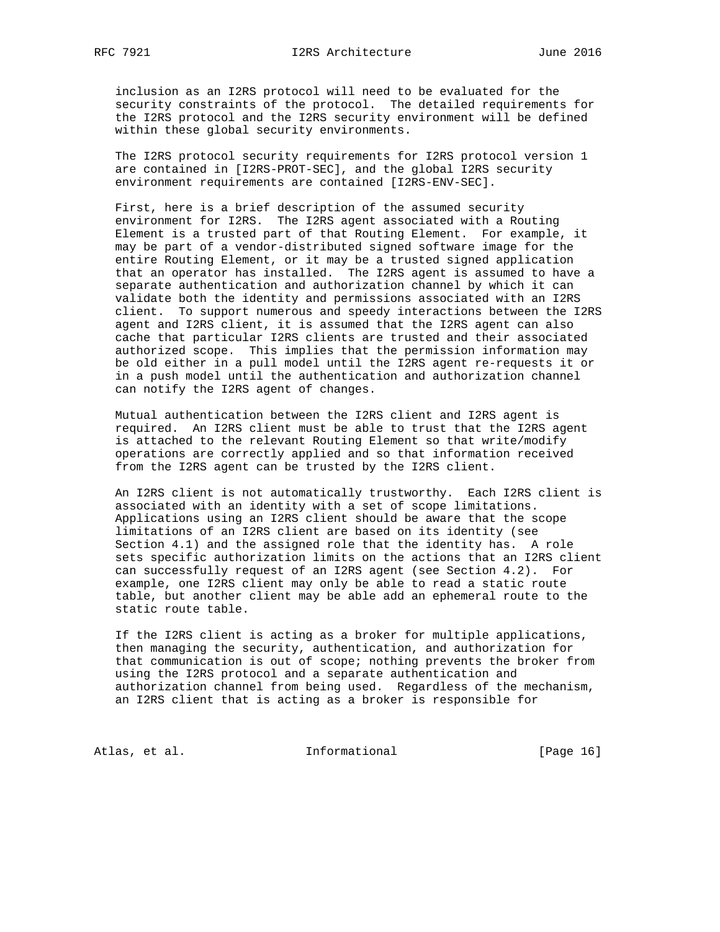inclusion as an I2RS protocol will need to be evaluated for the security constraints of the protocol. The detailed requirements for the I2RS protocol and the I2RS security environment will be defined within these global security environments.

 The I2RS protocol security requirements for I2RS protocol version 1 are contained in [I2RS-PROT-SEC], and the global I2RS security environment requirements are contained [I2RS-ENV-SEC].

 First, here is a brief description of the assumed security environment for I2RS. The I2RS agent associated with a Routing Element is a trusted part of that Routing Element. For example, it may be part of a vendor-distributed signed software image for the entire Routing Element, or it may be a trusted signed application that an operator has installed. The I2RS agent is assumed to have a separate authentication and authorization channel by which it can validate both the identity and permissions associated with an I2RS client. To support numerous and speedy interactions between the I2RS agent and I2RS client, it is assumed that the I2RS agent can also cache that particular I2RS clients are trusted and their associated authorized scope. This implies that the permission information may be old either in a pull model until the I2RS agent re-requests it or in a push model until the authentication and authorization channel can notify the I2RS agent of changes.

 Mutual authentication between the I2RS client and I2RS agent is required. An I2RS client must be able to trust that the I2RS agent is attached to the relevant Routing Element so that write/modify operations are correctly applied and so that information received from the I2RS agent can be trusted by the I2RS client.

 An I2RS client is not automatically trustworthy. Each I2RS client is associated with an identity with a set of scope limitations. Applications using an I2RS client should be aware that the scope limitations of an I2RS client are based on its identity (see Section 4.1) and the assigned role that the identity has. A role sets specific authorization limits on the actions that an I2RS client can successfully request of an I2RS agent (see Section 4.2). For example, one I2RS client may only be able to read a static route table, but another client may be able add an ephemeral route to the static route table.

 If the I2RS client is acting as a broker for multiple applications, then managing the security, authentication, and authorization for that communication is out of scope; nothing prevents the broker from using the I2RS protocol and a separate authentication and authorization channel from being used. Regardless of the mechanism, an I2RS client that is acting as a broker is responsible for

Atlas, et al. 1nformational [Page 16]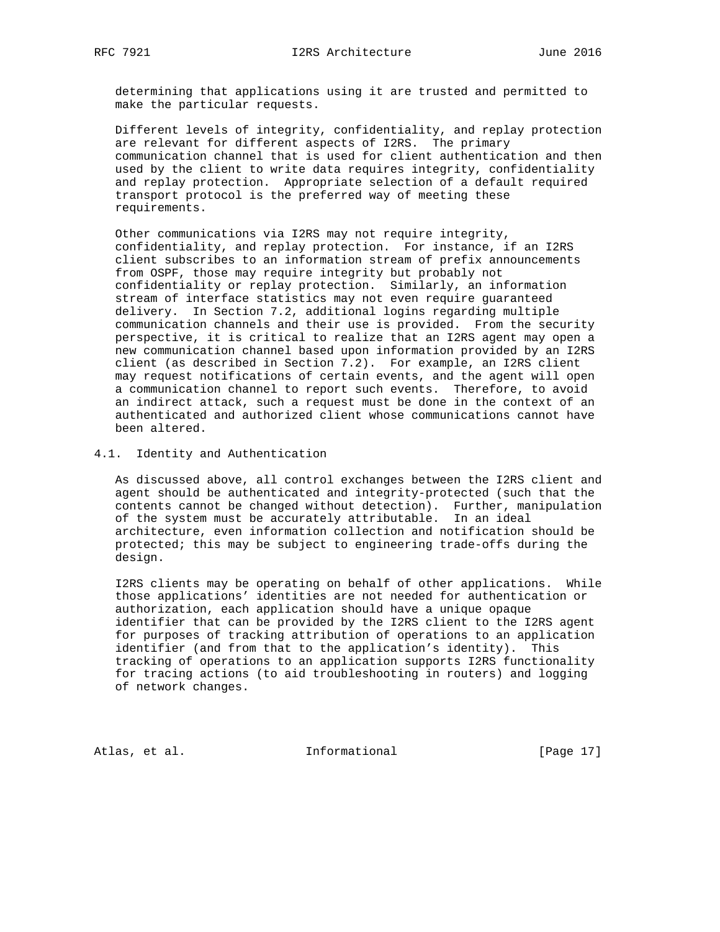determining that applications using it are trusted and permitted to make the particular requests.

 Different levels of integrity, confidentiality, and replay protection are relevant for different aspects of I2RS. The primary communication channel that is used for client authentication and then used by the client to write data requires integrity, confidentiality and replay protection. Appropriate selection of a default required transport protocol is the preferred way of meeting these requirements.

 Other communications via I2RS may not require integrity, confidentiality, and replay protection. For instance, if an I2RS client subscribes to an information stream of prefix announcements from OSPF, those may require integrity but probably not confidentiality or replay protection. Similarly, an information stream of interface statistics may not even require guaranteed delivery. In Section 7.2, additional logins regarding multiple communication channels and their use is provided. From the security perspective, it is critical to realize that an I2RS agent may open a new communication channel based upon information provided by an I2RS client (as described in Section 7.2). For example, an I2RS client may request notifications of certain events, and the agent will open a communication channel to report such events. Therefore, to avoid an indirect attack, such a request must be done in the context of an authenticated and authorized client whose communications cannot have been altered.

4.1. Identity and Authentication

 As discussed above, all control exchanges between the I2RS client and agent should be authenticated and integrity-protected (such that the contents cannot be changed without detection). Further, manipulation of the system must be accurately attributable. In an ideal architecture, even information collection and notification should be protected; this may be subject to engineering trade-offs during the design.

 I2RS clients may be operating on behalf of other applications. While those applications' identities are not needed for authentication or authorization, each application should have a unique opaque identifier that can be provided by the I2RS client to the I2RS agent for purposes of tracking attribution of operations to an application identifier (and from that to the application's identity). This tracking of operations to an application supports I2RS functionality for tracing actions (to aid troubleshooting in routers) and logging of network changes.

Atlas, et al. 1nformational [Page 17]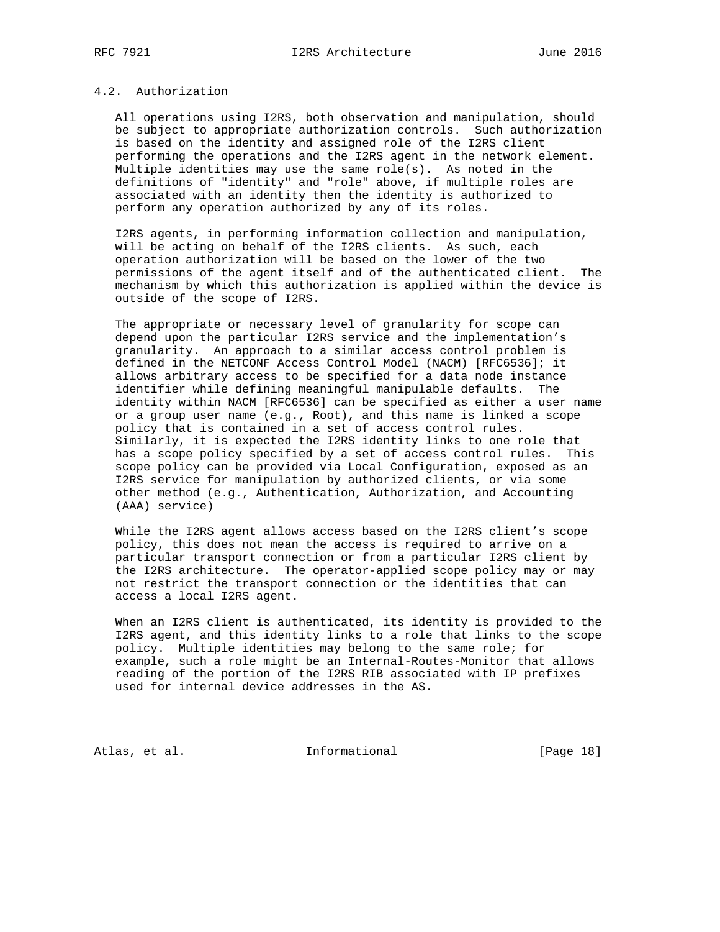# 4.2. Authorization

 All operations using I2RS, both observation and manipulation, should be subject to appropriate authorization controls. Such authorization is based on the identity and assigned role of the I2RS client performing the operations and the I2RS agent in the network element. Multiple identities may use the same role(s). As noted in the definitions of "identity" and "role" above, if multiple roles are associated with an identity then the identity is authorized to perform any operation authorized by any of its roles.

 I2RS agents, in performing information collection and manipulation, will be acting on behalf of the I2RS clients. As such, each operation authorization will be based on the lower of the two permissions of the agent itself and of the authenticated client. The mechanism by which this authorization is applied within the device is outside of the scope of I2RS.

 The appropriate or necessary level of granularity for scope can depend upon the particular I2RS service and the implementation's granularity. An approach to a similar access control problem is defined in the NETCONF Access Control Model (NACM) [RFC6536]; it allows arbitrary access to be specified for a data node instance identifier while defining meaningful manipulable defaults. The identity within NACM [RFC6536] can be specified as either a user name or a group user name (e.g., Root), and this name is linked a scope policy that is contained in a set of access control rules. Similarly, it is expected the I2RS identity links to one role that has a scope policy specified by a set of access control rules. This scope policy can be provided via Local Configuration, exposed as an I2RS service for manipulation by authorized clients, or via some other method (e.g., Authentication, Authorization, and Accounting (AAA) service)

 While the I2RS agent allows access based on the I2RS client's scope policy, this does not mean the access is required to arrive on a particular transport connection or from a particular I2RS client by the I2RS architecture. The operator-applied scope policy may or may not restrict the transport connection or the identities that can access a local I2RS agent.

 When an I2RS client is authenticated, its identity is provided to the I2RS agent, and this identity links to a role that links to the scope policy. Multiple identities may belong to the same role; for example, such a role might be an Internal-Routes-Monitor that allows reading of the portion of the I2RS RIB associated with IP prefixes used for internal device addresses in the AS.

Atlas, et al. 1nformational [Page 18]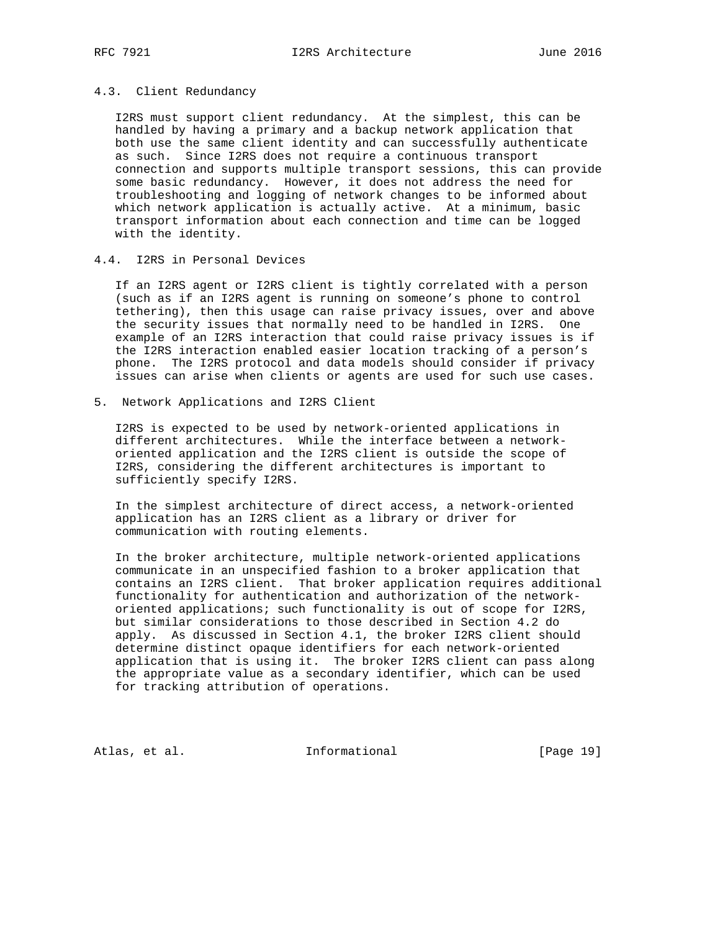# 4.3. Client Redundancy

 I2RS must support client redundancy. At the simplest, this can be handled by having a primary and a backup network application that both use the same client identity and can successfully authenticate as such. Since I2RS does not require a continuous transport connection and supports multiple transport sessions, this can provide some basic redundancy. However, it does not address the need for troubleshooting and logging of network changes to be informed about which network application is actually active. At a minimum, basic transport information about each connection and time can be logged with the identity.

#### 4.4. I2RS in Personal Devices

 If an I2RS agent or I2RS client is tightly correlated with a person (such as if an I2RS agent is running on someone's phone to control tethering), then this usage can raise privacy issues, over and above the security issues that normally need to be handled in I2RS. One example of an I2RS interaction that could raise privacy issues is if the I2RS interaction enabled easier location tracking of a person's phone. The I2RS protocol and data models should consider if privacy issues can arise when clients or agents are used for such use cases.

5. Network Applications and I2RS Client

 I2RS is expected to be used by network-oriented applications in different architectures. While the interface between a network oriented application and the I2RS client is outside the scope of I2RS, considering the different architectures is important to sufficiently specify I2RS.

 In the simplest architecture of direct access, a network-oriented application has an I2RS client as a library or driver for communication with routing elements.

 In the broker architecture, multiple network-oriented applications communicate in an unspecified fashion to a broker application that contains an I2RS client. That broker application requires additional functionality for authentication and authorization of the network oriented applications; such functionality is out of scope for I2RS, but similar considerations to those described in Section 4.2 do apply. As discussed in Section 4.1, the broker I2RS client should determine distinct opaque identifiers for each network-oriented application that is using it. The broker I2RS client can pass along the appropriate value as a secondary identifier, which can be used for tracking attribution of operations.

Atlas, et al. 1nformational [Page 19]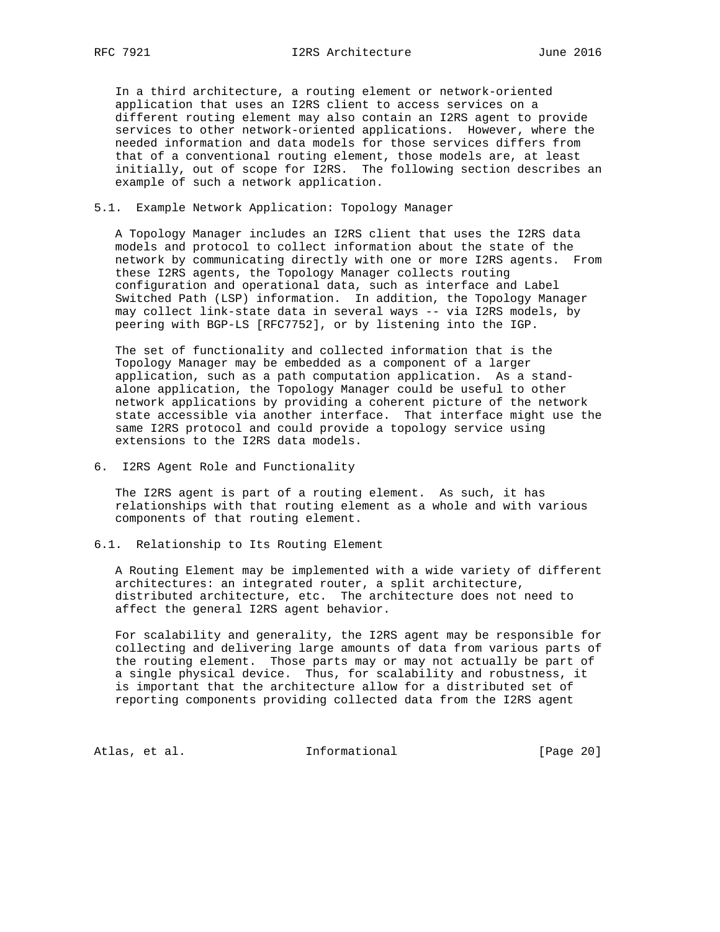In a third architecture, a routing element or network-oriented application that uses an I2RS client to access services on a different routing element may also contain an I2RS agent to provide services to other network-oriented applications. However, where the needed information and data models for those services differs from that of a conventional routing element, those models are, at least initially, out of scope for I2RS. The following section describes an example of such a network application.

# 5.1. Example Network Application: Topology Manager

 A Topology Manager includes an I2RS client that uses the I2RS data models and protocol to collect information about the state of the network by communicating directly with one or more I2RS agents. From these I2RS agents, the Topology Manager collects routing configuration and operational data, such as interface and Label Switched Path (LSP) information. In addition, the Topology Manager may collect link-state data in several ways -- via I2RS models, by peering with BGP-LS [RFC7752], or by listening into the IGP.

 The set of functionality and collected information that is the Topology Manager may be embedded as a component of a larger application, such as a path computation application. As a stand alone application, the Topology Manager could be useful to other network applications by providing a coherent picture of the network state accessible via another interface. That interface might use the same I2RS protocol and could provide a topology service using extensions to the I2RS data models.

6. I2RS Agent Role and Functionality

 The I2RS agent is part of a routing element. As such, it has relationships with that routing element as a whole and with various components of that routing element.

6.1. Relationship to Its Routing Element

 A Routing Element may be implemented with a wide variety of different architectures: an integrated router, a split architecture, distributed architecture, etc. The architecture does not need to affect the general I2RS agent behavior.

 For scalability and generality, the I2RS agent may be responsible for collecting and delivering large amounts of data from various parts of the routing element. Those parts may or may not actually be part of a single physical device. Thus, for scalability and robustness, it is important that the architecture allow for a distributed set of reporting components providing collected data from the I2RS agent

Atlas, et al. 1nformational [Page 20]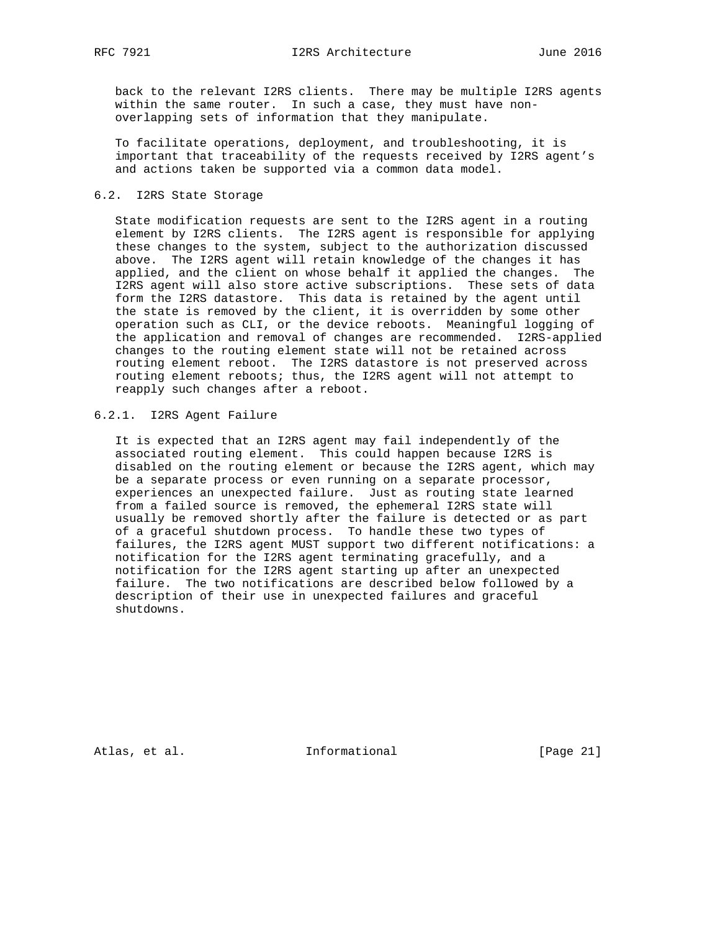back to the relevant I2RS clients. There may be multiple I2RS agents within the same router. In such a case, they must have non overlapping sets of information that they manipulate.

 To facilitate operations, deployment, and troubleshooting, it is important that traceability of the requests received by I2RS agent's and actions taken be supported via a common data model.

#### 6.2. I2RS State Storage

 State modification requests are sent to the I2RS agent in a routing element by I2RS clients. The I2RS agent is responsible for applying these changes to the system, subject to the authorization discussed above. The I2RS agent will retain knowledge of the changes it has applied, and the client on whose behalf it applied the changes. The I2RS agent will also store active subscriptions. These sets of data form the I2RS datastore. This data is retained by the agent until the state is removed by the client, it is overridden by some other operation such as CLI, or the device reboots. Meaningful logging of the application and removal of changes are recommended. I2RS-applied changes to the routing element state will not be retained across routing element reboot. The I2RS datastore is not preserved across routing element reboots; thus, the I2RS agent will not attempt to reapply such changes after a reboot.

# 6.2.1. I2RS Agent Failure

 It is expected that an I2RS agent may fail independently of the associated routing element. This could happen because I2RS is disabled on the routing element or because the I2RS agent, which may be a separate process or even running on a separate processor, experiences an unexpected failure. Just as routing state learned from a failed source is removed, the ephemeral I2RS state will usually be removed shortly after the failure is detected or as part of a graceful shutdown process. To handle these two types of failures, the I2RS agent MUST support two different notifications: a notification for the I2RS agent terminating gracefully, and a notification for the I2RS agent starting up after an unexpected failure. The two notifications are described below followed by a description of their use in unexpected failures and graceful shutdowns.

Atlas, et al. 1nformational [Page 21]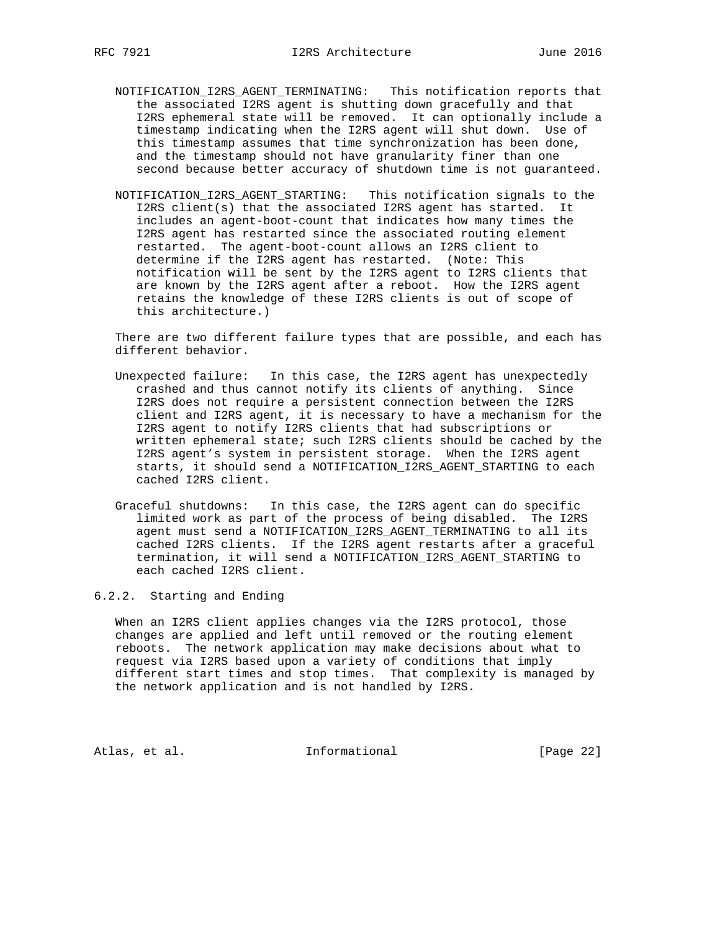- NOTIFICATION\_I2RS\_AGENT\_TERMINATING: This notification reports that the associated I2RS agent is shutting down gracefully and that I2RS ephemeral state will be removed. It can optionally include a timestamp indicating when the I2RS agent will shut down. Use of this timestamp assumes that time synchronization has been done, and the timestamp should not have granularity finer than one second because better accuracy of shutdown time is not guaranteed.
- NOTIFICATION\_I2RS\_AGENT\_STARTING: This notification signals to the I2RS client(s) that the associated I2RS agent has started. It includes an agent-boot-count that indicates how many times the I2RS agent has restarted since the associated routing element restarted. The agent-boot-count allows an I2RS client to determine if the I2RS agent has restarted. (Note: This notification will be sent by the I2RS agent to I2RS clients that are known by the I2RS agent after a reboot. How the I2RS agent retains the knowledge of these I2RS clients is out of scope of this architecture.)

 There are two different failure types that are possible, and each has different behavior.

- Unexpected failure: In this case, the I2RS agent has unexpectedly crashed and thus cannot notify its clients of anything. Since I2RS does not require a persistent connection between the I2RS client and I2RS agent, it is necessary to have a mechanism for the I2RS agent to notify I2RS clients that had subscriptions or written ephemeral state; such I2RS clients should be cached by the I2RS agent's system in persistent storage. When the I2RS agent starts, it should send a NOTIFICATION\_I2RS\_AGENT\_STARTING to each cached I2RS client.
- Graceful shutdowns: In this case, the I2RS agent can do specific limited work as part of the process of being disabled. The I2RS agent must send a NOTIFICATION\_I2RS\_AGENT\_TERMINATING to all its cached I2RS clients. If the I2RS agent restarts after a graceful termination, it will send a NOTIFICATION\_I2RS\_AGENT\_STARTING to each cached I2RS client.

#### 6.2.2. Starting and Ending

 When an I2RS client applies changes via the I2RS protocol, those changes are applied and left until removed or the routing element reboots. The network application may make decisions about what to request via I2RS based upon a variety of conditions that imply different start times and stop times. That complexity is managed by the network application and is not handled by I2RS.

Atlas, et al. 1nformational [Page 22]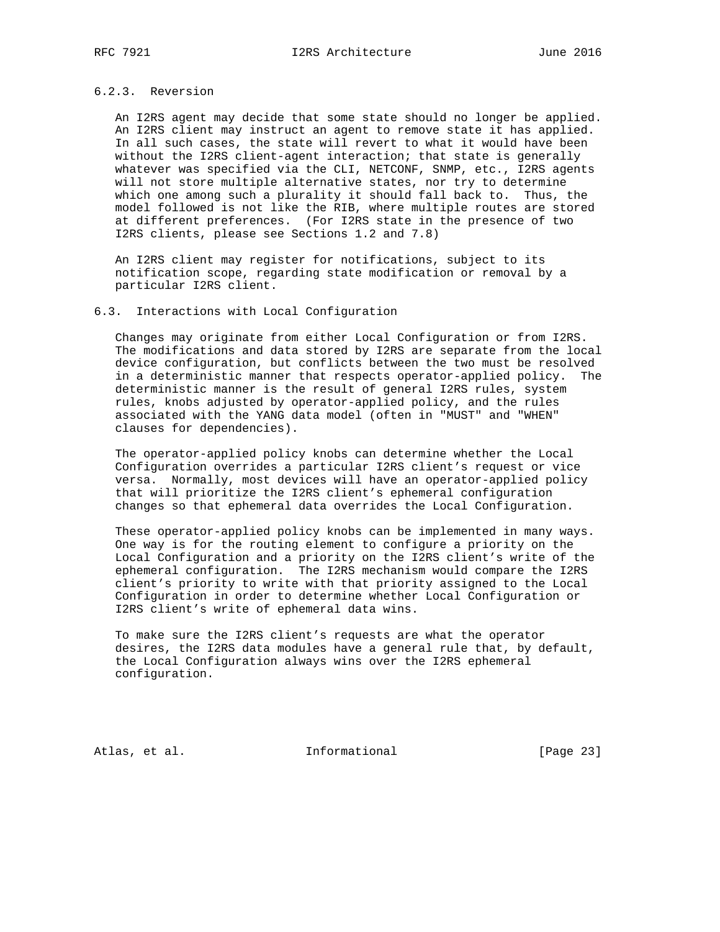# 6.2.3. Reversion

 An I2RS agent may decide that some state should no longer be applied. An I2RS client may instruct an agent to remove state it has applied. In all such cases, the state will revert to what it would have been without the I2RS client-agent interaction; that state is generally whatever was specified via the CLI, NETCONF, SNMP, etc., I2RS agents will not store multiple alternative states, nor try to determine which one among such a plurality it should fall back to. Thus, the model followed is not like the RIB, where multiple routes are stored at different preferences. (For I2RS state in the presence of two I2RS clients, please see Sections 1.2 and 7.8)

 An I2RS client may register for notifications, subject to its notification scope, regarding state modification or removal by a particular I2RS client.

#### 6.3. Interactions with Local Configuration

 Changes may originate from either Local Configuration or from I2RS. The modifications and data stored by I2RS are separate from the local device configuration, but conflicts between the two must be resolved in a deterministic manner that respects operator-applied policy. The deterministic manner is the result of general I2RS rules, system rules, knobs adjusted by operator-applied policy, and the rules associated with the YANG data model (often in "MUST" and "WHEN" clauses for dependencies).

 The operator-applied policy knobs can determine whether the Local Configuration overrides a particular I2RS client's request or vice versa. Normally, most devices will have an operator-applied policy that will prioritize the I2RS client's ephemeral configuration changes so that ephemeral data overrides the Local Configuration.

 These operator-applied policy knobs can be implemented in many ways. One way is for the routing element to configure a priority on the Local Configuration and a priority on the I2RS client's write of the ephemeral configuration. The I2RS mechanism would compare the I2RS client's priority to write with that priority assigned to the Local Configuration in order to determine whether Local Configuration or I2RS client's write of ephemeral data wins.

 To make sure the I2RS client's requests are what the operator desires, the I2RS data modules have a general rule that, by default, the Local Configuration always wins over the I2RS ephemeral configuration.

Atlas, et al. 1nformational [Page 23]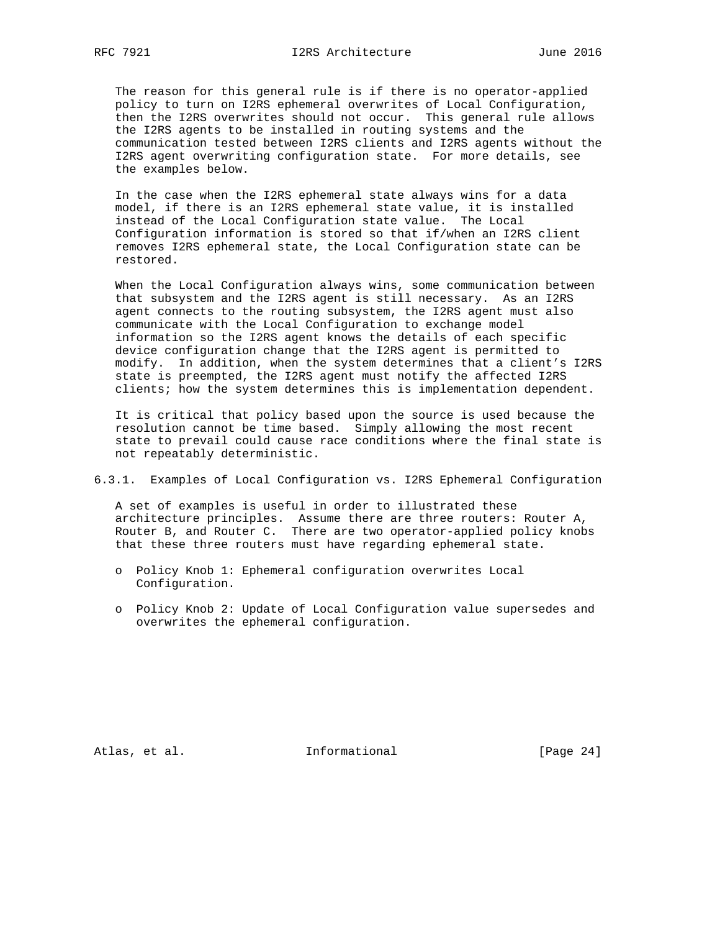The reason for this general rule is if there is no operator-applied policy to turn on I2RS ephemeral overwrites of Local Configuration, then the I2RS overwrites should not occur. This general rule allows the I2RS agents to be installed in routing systems and the communication tested between I2RS clients and I2RS agents without the I2RS agent overwriting configuration state. For more details, see the examples below.

 In the case when the I2RS ephemeral state always wins for a data model, if there is an I2RS ephemeral state value, it is installed instead of the Local Configuration state value. The Local Configuration information is stored so that if/when an I2RS client removes I2RS ephemeral state, the Local Configuration state can be restored.

 When the Local Configuration always wins, some communication between that subsystem and the I2RS agent is still necessary. As an I2RS agent connects to the routing subsystem, the I2RS agent must also communicate with the Local Configuration to exchange model information so the I2RS agent knows the details of each specific device configuration change that the I2RS agent is permitted to modify. In addition, when the system determines that a client's I2RS state is preempted, the I2RS agent must notify the affected I2RS clients; how the system determines this is implementation dependent.

 It is critical that policy based upon the source is used because the resolution cannot be time based. Simply allowing the most recent state to prevail could cause race conditions where the final state is not repeatably deterministic.

# 6.3.1. Examples of Local Configuration vs. I2RS Ephemeral Configuration

 A set of examples is useful in order to illustrated these architecture principles. Assume there are three routers: Router A, Router B, and Router C. There are two operator-applied policy knobs that these three routers must have regarding ephemeral state.

- o Policy Knob 1: Ephemeral configuration overwrites Local Configuration.
- o Policy Knob 2: Update of Local Configuration value supersedes and overwrites the ephemeral configuration.

Atlas, et al. 1nformational [Page 24]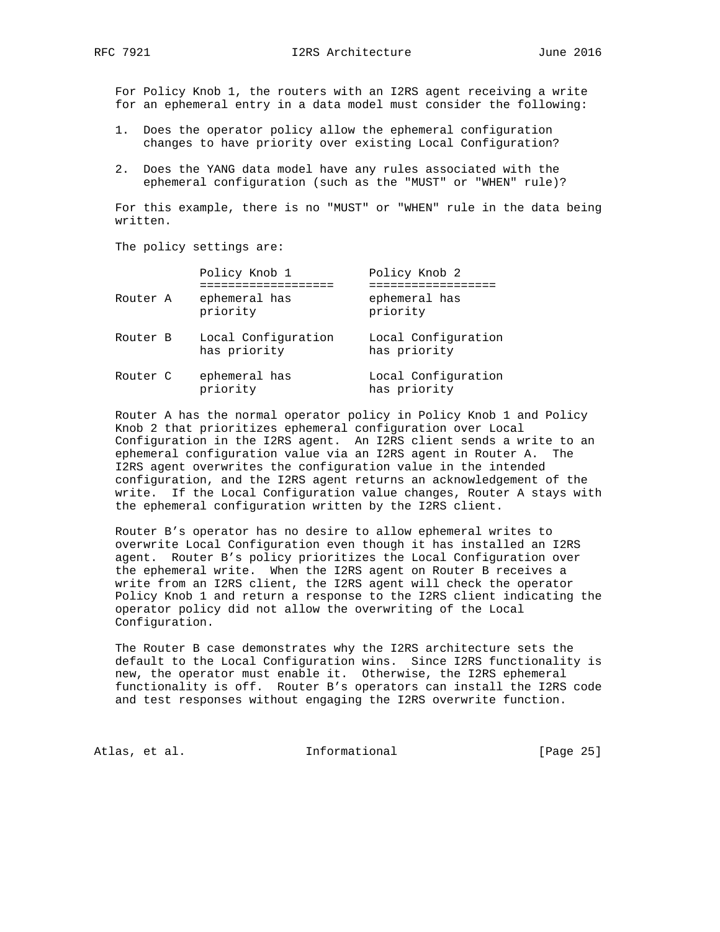For Policy Knob 1, the routers with an I2RS agent receiving a write for an ephemeral entry in a data model must consider the following:

- 1. Does the operator policy allow the ephemeral configuration changes to have priority over existing Local Configuration?
- 2. Does the YANG data model have any rules associated with the ephemeral configuration (such as the "MUST" or "WHEN" rule)?

 For this example, there is no "MUST" or "WHEN" rule in the data being written.

The policy settings are:

|          | Policy Knob 1                       | Policy Knob 2                       |
|----------|-------------------------------------|-------------------------------------|
| Router A | ephemeral has<br>priority           | ephemeral has<br>priority           |
| Router B | Local Configuration<br>has priority | Local Configuration<br>has priority |
| Router C | ephemeral has<br>priority           | Local Configuration<br>has priority |

 Router A has the normal operator policy in Policy Knob 1 and Policy Knob 2 that prioritizes ephemeral configuration over Local Configuration in the I2RS agent. An I2RS client sends a write to an ephemeral configuration value via an I2RS agent in Router A. The I2RS agent overwrites the configuration value in the intended configuration, and the I2RS agent returns an acknowledgement of the write. If the Local Configuration value changes, Router A stays with the ephemeral configuration written by the I2RS client.

 Router B's operator has no desire to allow ephemeral writes to overwrite Local Configuration even though it has installed an I2RS agent. Router B's policy prioritizes the Local Configuration over the ephemeral write. When the I2RS agent on Router B receives a write from an I2RS client, the I2RS agent will check the operator Policy Knob 1 and return a response to the I2RS client indicating the operator policy did not allow the overwriting of the Local Configuration.

 The Router B case demonstrates why the I2RS architecture sets the default to the Local Configuration wins. Since I2RS functionality is new, the operator must enable it. Otherwise, the I2RS ephemeral functionality is off. Router B's operators can install the I2RS code and test responses without engaging the I2RS overwrite function.

Atlas, et al. 1nformational [Page 25]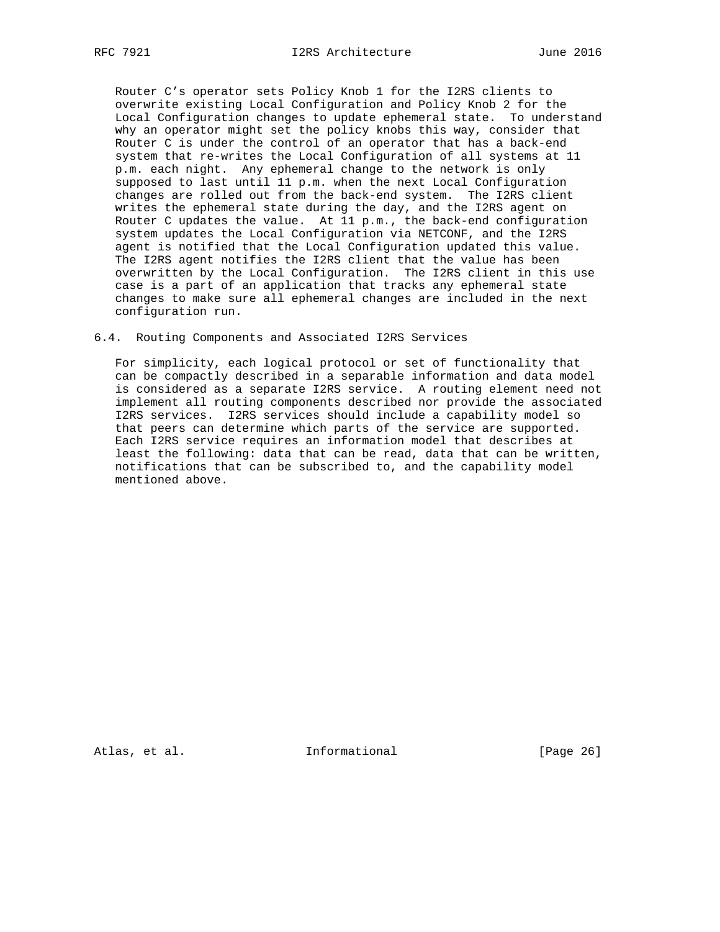Router C's operator sets Policy Knob 1 for the I2RS clients to overwrite existing Local Configuration and Policy Knob 2 for the Local Configuration changes to update ephemeral state. To understand why an operator might set the policy knobs this way, consider that Router C is under the control of an operator that has a back-end system that re-writes the Local Configuration of all systems at 11 p.m. each night. Any ephemeral change to the network is only supposed to last until 11 p.m. when the next Local Configuration changes are rolled out from the back-end system. The I2RS client writes the ephemeral state during the day, and the I2RS agent on Router C updates the value. At 11 p.m., the back-end configuration system updates the Local Configuration via NETCONF, and the I2RS agent is notified that the Local Configuration updated this value. The I2RS agent notifies the I2RS client that the value has been overwritten by the Local Configuration. The I2RS client in this use case is a part of an application that tracks any ephemeral state changes to make sure all ephemeral changes are included in the next configuration run.

#### 6.4. Routing Components and Associated I2RS Services

 For simplicity, each logical protocol or set of functionality that can be compactly described in a separable information and data model is considered as a separate I2RS service. A routing element need not implement all routing components described nor provide the associated I2RS services. I2RS services should include a capability model so that peers can determine which parts of the service are supported. Each I2RS service requires an information model that describes at least the following: data that can be read, data that can be written, notifications that can be subscribed to, and the capability model mentioned above.

Atlas, et al. 1nformational [Page 26]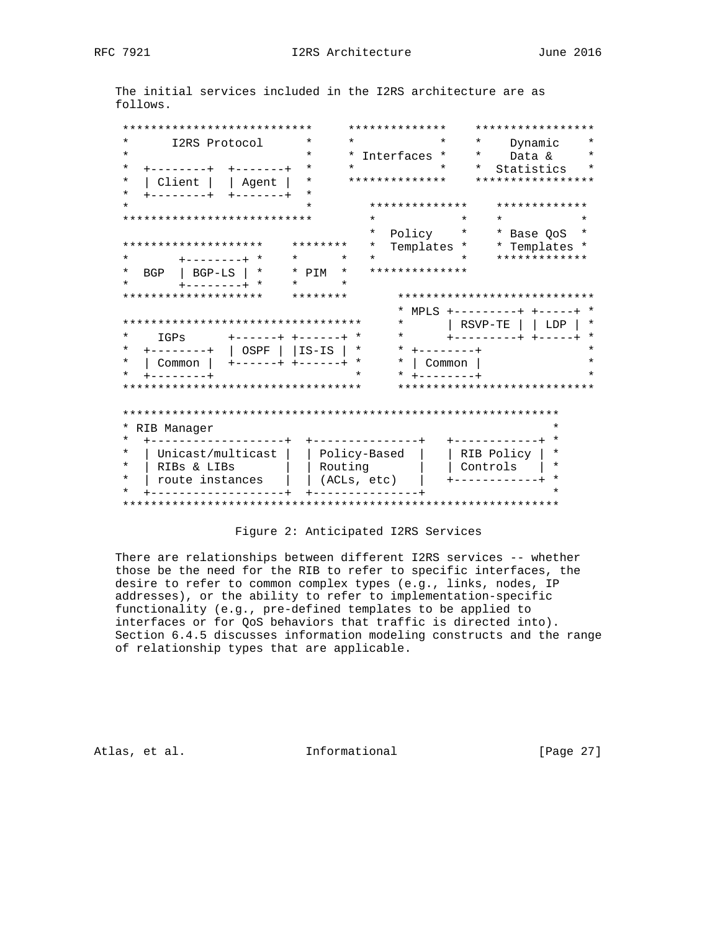The initial services included in the I2RS architecture are as follows.

| ***************************        |                 |                 |              | * * * * * * * * * * * * * * |                     |             | *****************            |         |
|------------------------------------|-----------------|-----------------|--------------|-----------------------------|---------------------|-------------|------------------------------|---------|
| $\star$<br>I2RS Protocol           |                 | $\star$         | $\star$      |                             |                     | $\ast$      | Dynamic                      |         |
| $\star$                            |                 | $\star$         | *            | Interfaces                  | $\star$             | $^\star$    | Data &                       |         |
| *<br>------+                       |                 | *               | $^\star$     |                             | $\star$             | $^\star$    | Statistics                   |         |
| Client<br>$\star$                  | Agent           | $\star$         |              | **************              |                     |             | *****************            |         |
| $^\star$<br>-------+               |                 | *               |              |                             |                     |             |                              |         |
| $\star$                            |                 |                 |              | **************              |                     |             | *************                |         |
| ***************************        |                 |                 | $\star$      |                             | $\star$             | $^\star$    |                              | $\star$ |
|                                    |                 |                 | *            | Policy                      | $\star$             |             | * Base QoS                   |         |
| ********************               |                 | ********        | $^\star$     | Templates *                 |                     |             | * Templates *                |         |
| $^\star$<br>$+ - - - - - - - +$ *  | $^\star$        | $\ast$          | $\star$      |                             | $\star$             |             | *************                |         |
| $\star$<br>$BGP-LS$<br>BGP         | *               | * PTM<br>$\ast$ |              | **************              |                     |             |                              |         |
| $\star$<br>$-----++$ *             | $\star$         | $\star$         |              |                             |                     |             |                              |         |
| ********************               |                 | ********        |              |                             |                     |             | **************************** |         |
|                                    |                 |                 |              |                             |                     |             | $MPLS$ +---------+ +-----+ * |         |
| ********************************** |                 |                 |              | $\star$                     |                     | RSVP-TE     | LDP                          | *       |
| $\star$<br>IGPs                    | $+ - - - - - +$ | $+ - - - - - +$ |              | $\ast$                      |                     |             | --------+ +-----+            |         |
| $^\star$<br>$------++$             | OSPF            | līs-īs          | $\star$      | $\star$                     |                     |             |                              |         |
| $\star$<br>Common                  |                 | $+ - - - - - +$ | $\star$      | *                           | Common              |             |                              |         |
| $^\star$<br>$- - - - - - +$        |                 |                 |              |                             |                     |             |                              |         |
| ********************************** |                 |                 |              |                             |                     |             | **************************** |         |
|                                    |                 |                 |              |                             |                     |             |                              |         |
|                                    |                 |                 |              |                             |                     |             |                              |         |
| RIB Manager                        |                 |                 |              |                             |                     |             |                              | ¥       |
| $^\star$                           |                 |                 |              | --------------+             |                     | +---------- |                              |         |
| $\star$<br>Unicast/multicast       |                 |                 | Policy-Based |                             |                     | RIB Policy  |                              | *       |
| $\star$                            |                 |                 |              |                             |                     |             |                              | *       |
| $\star$                            | RIBs & LIBs     |                 |              |                             | Routing<br>Controls |             |                              |         |
| route instances                    |                 |                 | (ACLs, etc)  |                             |                     |             |                              | *       |
|                                    |                 |                 |              |                             |                     |             |                              |         |

# Figure 2: Anticipated I2RS Services

 There are relationships between different I2RS services -- whether those be the need for the RIB to refer to specific interfaces, the desire to refer to common complex types (e.g., links, nodes, IP addresses), or the ability to refer to implementation-specific functionality (e.g., pre-defined templates to be applied to interfaces or for QoS behaviors that traffic is directed into). Section 6.4.5 discusses information modeling constructs and the range of relationship types that are applicable.

Atlas, et al. 1nformational [Page 27]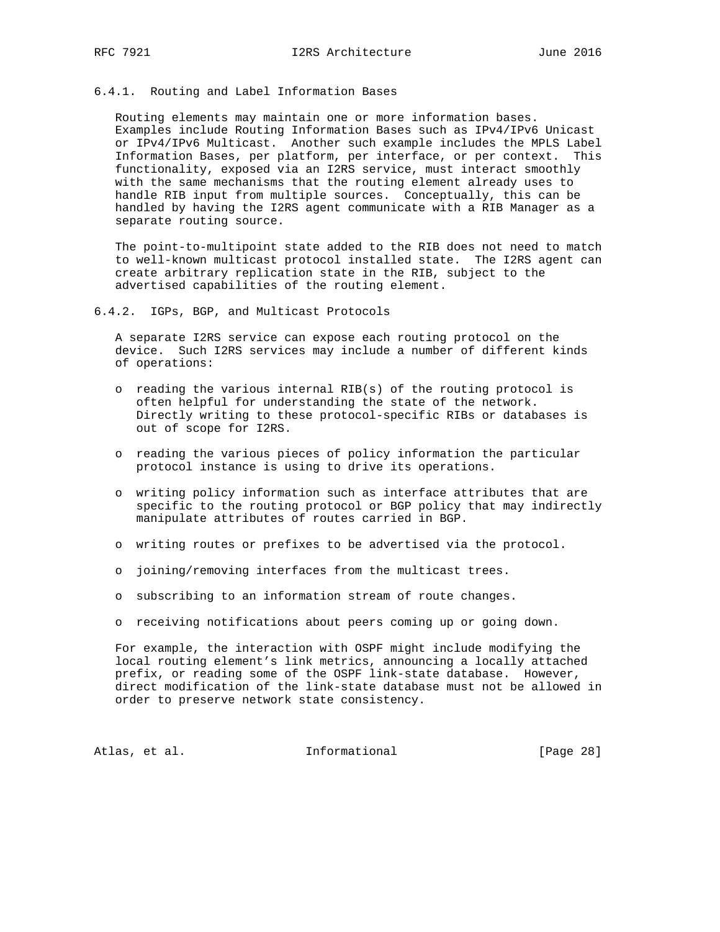#### 6.4.1. Routing and Label Information Bases

 Routing elements may maintain one or more information bases. Examples include Routing Information Bases such as IPv4/IPv6 Unicast or IPv4/IPv6 Multicast. Another such example includes the MPLS Label Information Bases, per platform, per interface, or per context. This functionality, exposed via an I2RS service, must interact smoothly with the same mechanisms that the routing element already uses to handle RIB input from multiple sources. Conceptually, this can be handled by having the I2RS agent communicate with a RIB Manager as a separate routing source.

 The point-to-multipoint state added to the RIB does not need to match to well-known multicast protocol installed state. The I2RS agent can create arbitrary replication state in the RIB, subject to the advertised capabilities of the routing element.

6.4.2. IGPs, BGP, and Multicast Protocols

 A separate I2RS service can expose each routing protocol on the device. Such I2RS services may include a number of different kinds of operations:

- o reading the various internal RIB(s) of the routing protocol is often helpful for understanding the state of the network. Directly writing to these protocol-specific RIBs or databases is out of scope for I2RS.
- o reading the various pieces of policy information the particular protocol instance is using to drive its operations.
- o writing policy information such as interface attributes that are specific to the routing protocol or BGP policy that may indirectly manipulate attributes of routes carried in BGP.
- o writing routes or prefixes to be advertised via the protocol.
- o joining/removing interfaces from the multicast trees.
- o subscribing to an information stream of route changes.
- o receiving notifications about peers coming up or going down.

 For example, the interaction with OSPF might include modifying the local routing element's link metrics, announcing a locally attached prefix, or reading some of the OSPF link-state database. However, direct modification of the link-state database must not be allowed in order to preserve network state consistency.

Atlas, et al. 1nformational [Page 28]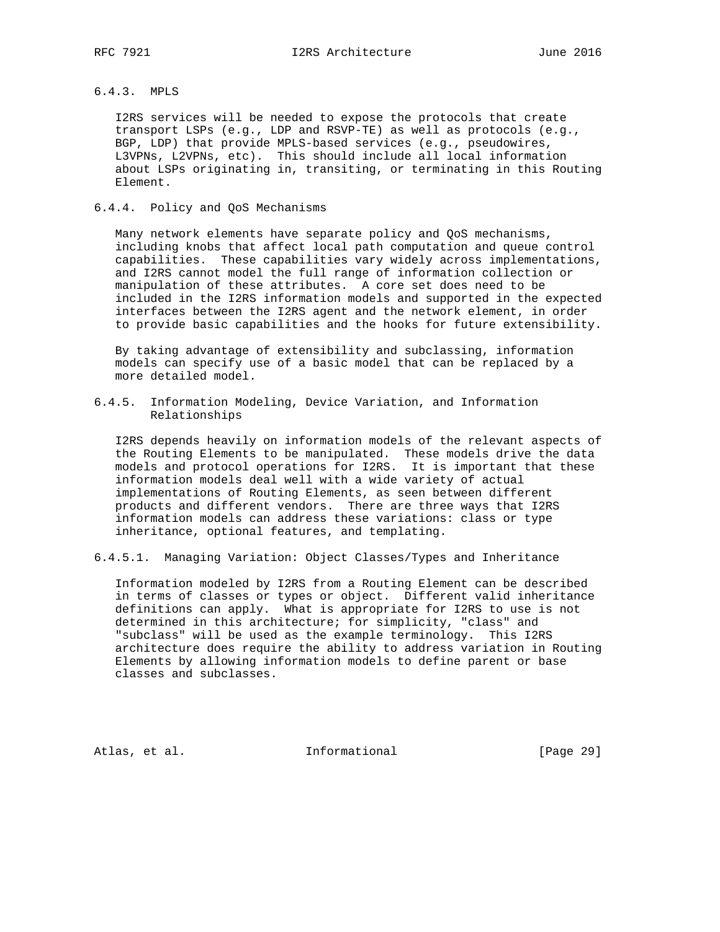# 6.4.3. MPLS

 I2RS services will be needed to expose the protocols that create transport LSPs (e.g., LDP and RSVP-TE) as well as protocols (e.g., BGP, LDP) that provide MPLS-based services (e.g., pseudowires, L3VPNs, L2VPNs, etc). This should include all local information about LSPs originating in, transiting, or terminating in this Routing Element.

# 6.4.4. Policy and QoS Mechanisms

 Many network elements have separate policy and QoS mechanisms, including knobs that affect local path computation and queue control capabilities. These capabilities vary widely across implementations, and I2RS cannot model the full range of information collection or manipulation of these attributes. A core set does need to be included in the I2RS information models and supported in the expected interfaces between the I2RS agent and the network element, in order to provide basic capabilities and the hooks for future extensibility.

 By taking advantage of extensibility and subclassing, information models can specify use of a basic model that can be replaced by a more detailed model.

6.4.5. Information Modeling, Device Variation, and Information Relationships

 I2RS depends heavily on information models of the relevant aspects of the Routing Elements to be manipulated. These models drive the data models and protocol operations for I2RS. It is important that these information models deal well with a wide variety of actual implementations of Routing Elements, as seen between different products and different vendors. There are three ways that I2RS information models can address these variations: class or type inheritance, optional features, and templating.

6.4.5.1. Managing Variation: Object Classes/Types and Inheritance

 Information modeled by I2RS from a Routing Element can be described in terms of classes or types or object. Different valid inheritance definitions can apply. What is appropriate for I2RS to use is not determined in this architecture; for simplicity, "class" and "subclass" will be used as the example terminology. This I2RS architecture does require the ability to address variation in Routing Elements by allowing information models to define parent or base classes and subclasses.

Atlas, et al. 1nformational [Page 29]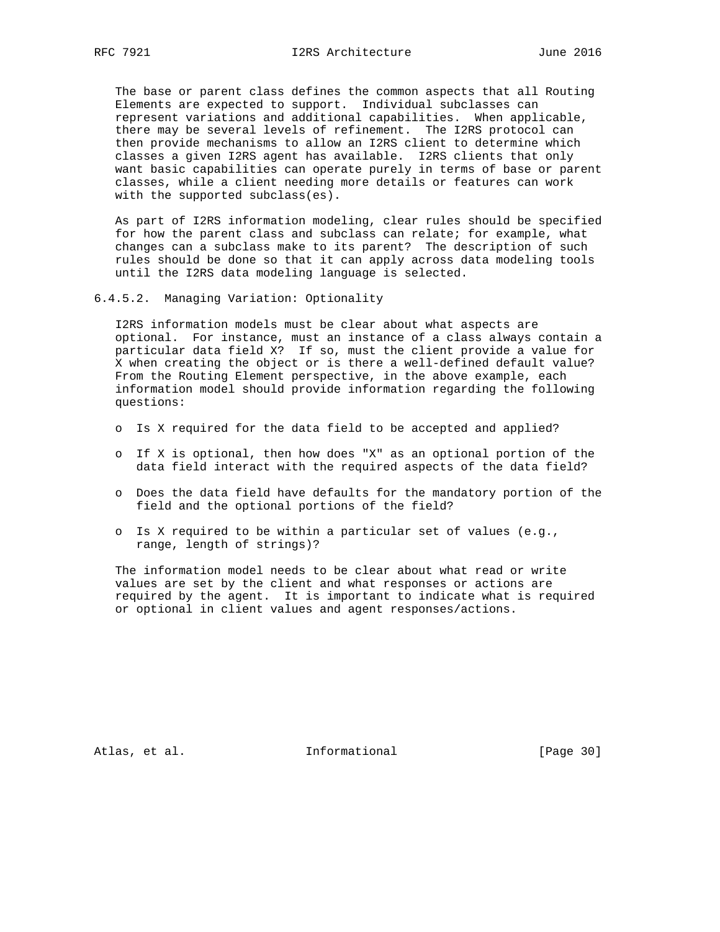The base or parent class defines the common aspects that all Routing Elements are expected to support. Individual subclasses can represent variations and additional capabilities. When applicable, there may be several levels of refinement. The I2RS protocol can then provide mechanisms to allow an I2RS client to determine which classes a given I2RS agent has available. I2RS clients that only want basic capabilities can operate purely in terms of base or parent classes, while a client needing more details or features can work with the supported subclass(es).

 As part of I2RS information modeling, clear rules should be specified for how the parent class and subclass can relate; for example, what changes can a subclass make to its parent? The description of such rules should be done so that it can apply across data modeling tools until the I2RS data modeling language is selected.

6.4.5.2. Managing Variation: Optionality

 I2RS information models must be clear about what aspects are optional. For instance, must an instance of a class always contain a particular data field X? If so, must the client provide a value for X when creating the object or is there a well-defined default value? From the Routing Element perspective, in the above example, each information model should provide information regarding the following questions:

- o Is X required for the data field to be accepted and applied?
- o If X is optional, then how does "X" as an optional portion of the data field interact with the required aspects of the data field?
- o Does the data field have defaults for the mandatory portion of the field and the optional portions of the field?
- o Is X required to be within a particular set of values (e.g., range, length of strings)?

 The information model needs to be clear about what read or write values are set by the client and what responses or actions are required by the agent. It is important to indicate what is required or optional in client values and agent responses/actions.

Atlas, et al. 1nformational [Page 30]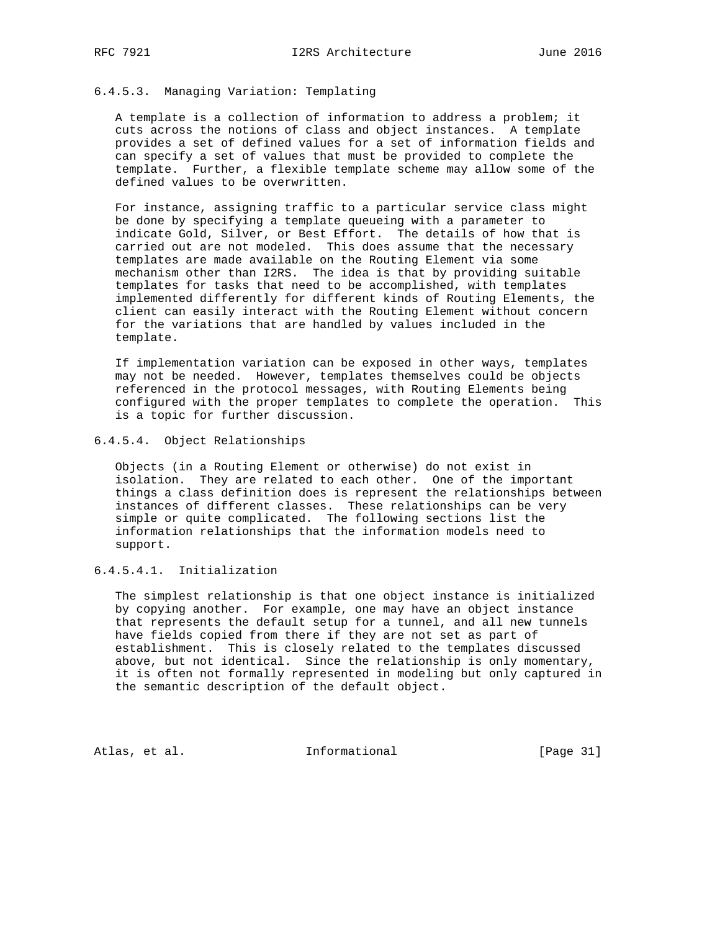# 6.4.5.3. Managing Variation: Templating

 A template is a collection of information to address a problem; it cuts across the notions of class and object instances. A template provides a set of defined values for a set of information fields and can specify a set of values that must be provided to complete the template. Further, a flexible template scheme may allow some of the defined values to be overwritten.

 For instance, assigning traffic to a particular service class might be done by specifying a template queueing with a parameter to indicate Gold, Silver, or Best Effort. The details of how that is carried out are not modeled. This does assume that the necessary templates are made available on the Routing Element via some mechanism other than I2RS. The idea is that by providing suitable templates for tasks that need to be accomplished, with templates implemented differently for different kinds of Routing Elements, the client can easily interact with the Routing Element without concern for the variations that are handled by values included in the template.

 If implementation variation can be exposed in other ways, templates may not be needed. However, templates themselves could be objects referenced in the protocol messages, with Routing Elements being configured with the proper templates to complete the operation. This is a topic for further discussion.

#### 6.4.5.4. Object Relationships

 Objects (in a Routing Element or otherwise) do not exist in isolation. They are related to each other. One of the important things a class definition does is represent the relationships between instances of different classes. These relationships can be very simple or quite complicated. The following sections list the information relationships that the information models need to support.

# 6.4.5.4.1. Initialization

 The simplest relationship is that one object instance is initialized by copying another. For example, one may have an object instance that represents the default setup for a tunnel, and all new tunnels have fields copied from there if they are not set as part of establishment. This is closely related to the templates discussed above, but not identical. Since the relationship is only momentary, it is often not formally represented in modeling but only captured in the semantic description of the default object.

Atlas, et al. 1nformational [Page 31]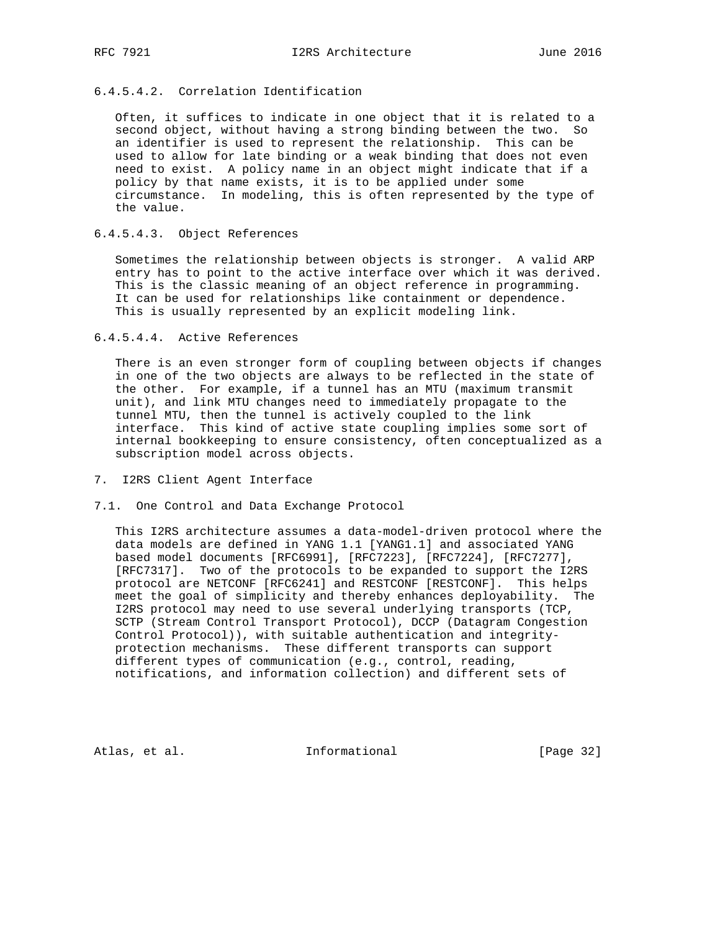# 6.4.5.4.2. Correlation Identification

 Often, it suffices to indicate in one object that it is related to a second object, without having a strong binding between the two. So an identifier is used to represent the relationship. This can be used to allow for late binding or a weak binding that does not even need to exist. A policy name in an object might indicate that if a policy by that name exists, it is to be applied under some circumstance. In modeling, this is often represented by the type of the value.

# 6.4.5.4.3. Object References

 Sometimes the relationship between objects is stronger. A valid ARP entry has to point to the active interface over which it was derived. This is the classic meaning of an object reference in programming. It can be used for relationships like containment or dependence. This is usually represented by an explicit modeling link.

# 6.4.5.4.4. Active References

 There is an even stronger form of coupling between objects if changes in one of the two objects are always to be reflected in the state of the other. For example, if a tunnel has an MTU (maximum transmit unit), and link MTU changes need to immediately propagate to the tunnel MTU, then the tunnel is actively coupled to the link interface. This kind of active state coupling implies some sort of internal bookkeeping to ensure consistency, often conceptualized as a subscription model across objects.

#### 7. I2RS Client Agent Interface

#### 7.1. One Control and Data Exchange Protocol

 This I2RS architecture assumes a data-model-driven protocol where the data models are defined in YANG 1.1 [YANG1.1] and associated YANG based model documents [RFC6991], [RFC7223], [RFC7224], [RFC7277], [RFC7317]. Two of the protocols to be expanded to support the I2RS protocol are NETCONF [RFC6241] and RESTCONF [RESTCONF]. This helps meet the goal of simplicity and thereby enhances deployability. The I2RS protocol may need to use several underlying transports (TCP, SCTP (Stream Control Transport Protocol), DCCP (Datagram Congestion Control Protocol)), with suitable authentication and integrity protection mechanisms. These different transports can support different types of communication (e.g., control, reading, notifications, and information collection) and different sets of

Atlas, et al. 1nformational [Page 32]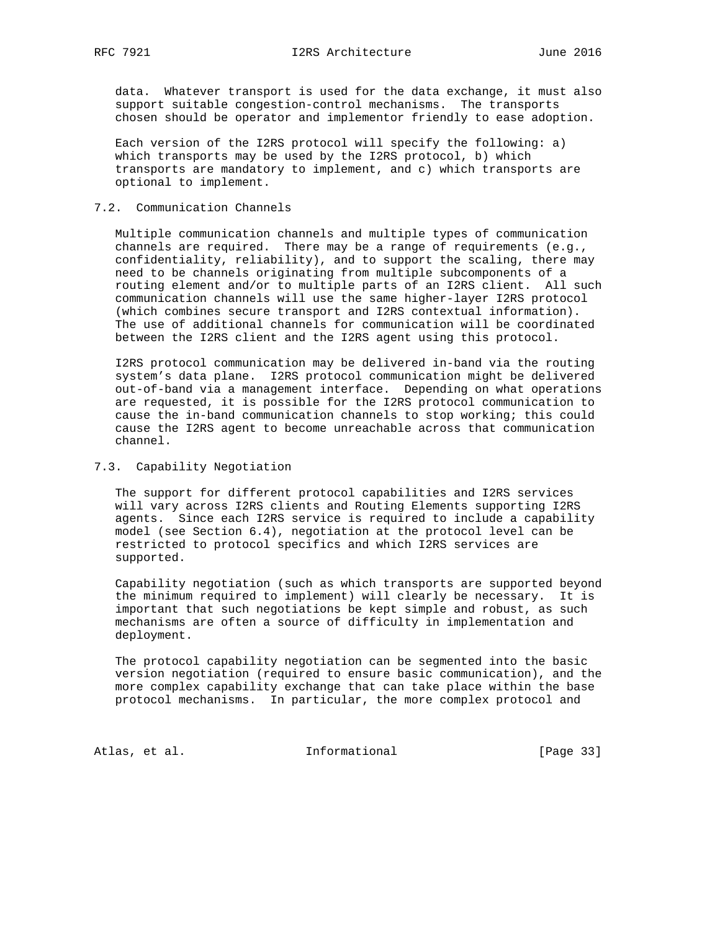data. Whatever transport is used for the data exchange, it must also support suitable congestion-control mechanisms. The transports chosen should be operator and implementor friendly to ease adoption.

 Each version of the I2RS protocol will specify the following: a) which transports may be used by the I2RS protocol, b) which transports are mandatory to implement, and c) which transports are optional to implement.

# 7.2. Communication Channels

 Multiple communication channels and multiple types of communication channels are required. There may be a range of requirements (e.g., confidentiality, reliability), and to support the scaling, there may need to be channels originating from multiple subcomponents of a routing element and/or to multiple parts of an I2RS client. All such communication channels will use the same higher-layer I2RS protocol (which combines secure transport and I2RS contextual information). The use of additional channels for communication will be coordinated between the I2RS client and the I2RS agent using this protocol.

 I2RS protocol communication may be delivered in-band via the routing system's data plane. I2RS protocol communication might be delivered out-of-band via a management interface. Depending on what operations are requested, it is possible for the I2RS protocol communication to cause the in-band communication channels to stop working; this could cause the I2RS agent to become unreachable across that communication channel.

## 7.3. Capability Negotiation

 The support for different protocol capabilities and I2RS services will vary across I2RS clients and Routing Elements supporting I2RS agents. Since each I2RS service is required to include a capability model (see Section 6.4), negotiation at the protocol level can be restricted to protocol specifics and which I2RS services are supported.

 Capability negotiation (such as which transports are supported beyond the minimum required to implement) will clearly be necessary. It is important that such negotiations be kept simple and robust, as such mechanisms are often a source of difficulty in implementation and deployment.

 The protocol capability negotiation can be segmented into the basic version negotiation (required to ensure basic communication), and the more complex capability exchange that can take place within the base protocol mechanisms. In particular, the more complex protocol and

Atlas, et al. 1nformational [Page 33]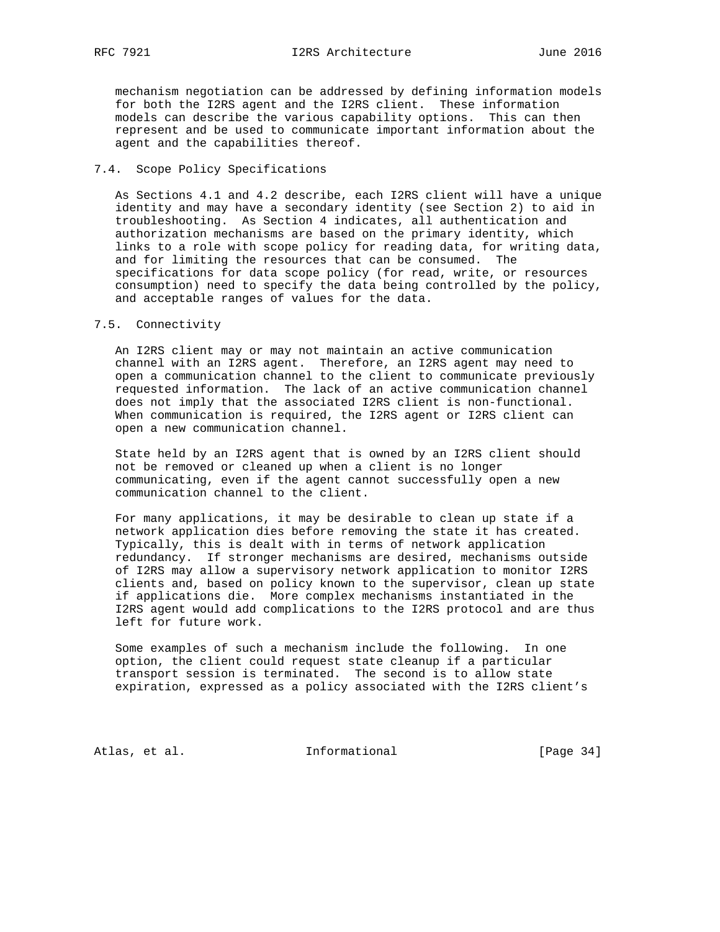mechanism negotiation can be addressed by defining information models for both the I2RS agent and the I2RS client. These information models can describe the various capability options. This can then represent and be used to communicate important information about the agent and the capabilities thereof.

## 7.4. Scope Policy Specifications

 As Sections 4.1 and 4.2 describe, each I2RS client will have a unique identity and may have a secondary identity (see Section 2) to aid in troubleshooting. As Section 4 indicates, all authentication and authorization mechanisms are based on the primary identity, which links to a role with scope policy for reading data, for writing data, and for limiting the resources that can be consumed. The specifications for data scope policy (for read, write, or resources consumption) need to specify the data being controlled by the policy, and acceptable ranges of values for the data.

#### 7.5. Connectivity

 An I2RS client may or may not maintain an active communication channel with an I2RS agent. Therefore, an I2RS agent may need to open a communication channel to the client to communicate previously requested information. The lack of an active communication channel does not imply that the associated I2RS client is non-functional. When communication is required, the I2RS agent or I2RS client can open a new communication channel.

 State held by an I2RS agent that is owned by an I2RS client should not be removed or cleaned up when a client is no longer communicating, even if the agent cannot successfully open a new communication channel to the client.

 For many applications, it may be desirable to clean up state if a network application dies before removing the state it has created. Typically, this is dealt with in terms of network application redundancy. If stronger mechanisms are desired, mechanisms outside of I2RS may allow a supervisory network application to monitor I2RS clients and, based on policy known to the supervisor, clean up state if applications die. More complex mechanisms instantiated in the I2RS agent would add complications to the I2RS protocol and are thus left for future work.

 Some examples of such a mechanism include the following. In one option, the client could request state cleanup if a particular transport session is terminated. The second is to allow state expiration, expressed as a policy associated with the I2RS client's

Atlas, et al. 1nformational [Page 34]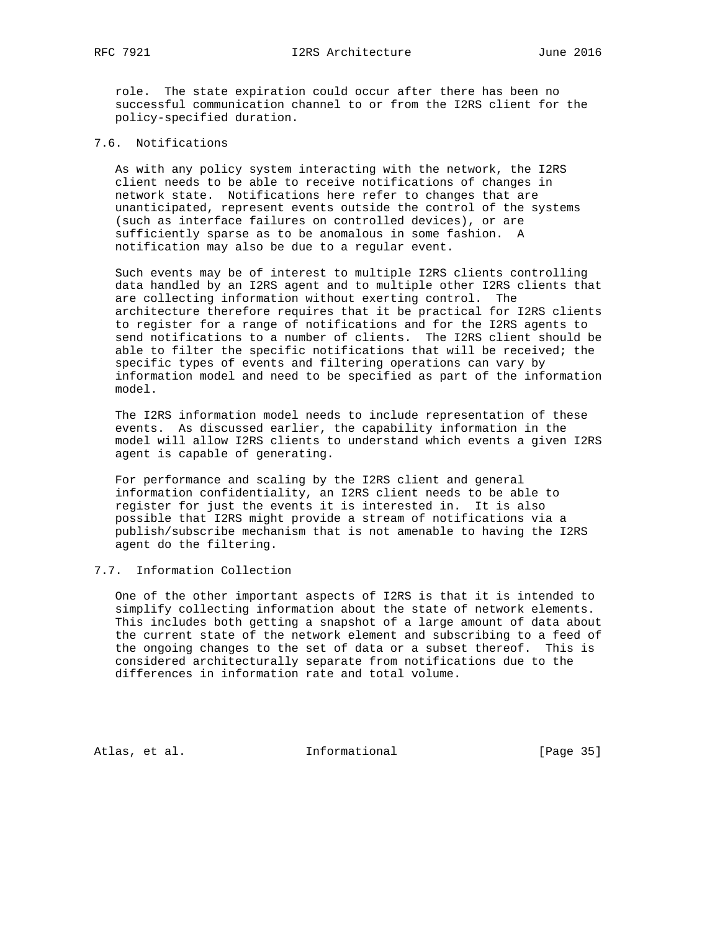role. The state expiration could occur after there has been no successful communication channel to or from the I2RS client for the policy-specified duration.

# 7.6. Notifications

 As with any policy system interacting with the network, the I2RS client needs to be able to receive notifications of changes in network state. Notifications here refer to changes that are unanticipated, represent events outside the control of the systems (such as interface failures on controlled devices), or are sufficiently sparse as to be anomalous in some fashion. A notification may also be due to a regular event.

 Such events may be of interest to multiple I2RS clients controlling data handled by an I2RS agent and to multiple other I2RS clients that are collecting information without exerting control. The architecture therefore requires that it be practical for I2RS clients to register for a range of notifications and for the I2RS agents to send notifications to a number of clients. The I2RS client should be able to filter the specific notifications that will be received; the specific types of events and filtering operations can vary by information model and need to be specified as part of the information model.

 The I2RS information model needs to include representation of these events. As discussed earlier, the capability information in the model will allow I2RS clients to understand which events a given I2RS agent is capable of generating.

 For performance and scaling by the I2RS client and general information confidentiality, an I2RS client needs to be able to register for just the events it is interested in. It is also possible that I2RS might provide a stream of notifications via a publish/subscribe mechanism that is not amenable to having the I2RS agent do the filtering.

# 7.7. Information Collection

 One of the other important aspects of I2RS is that it is intended to simplify collecting information about the state of network elements. This includes both getting a snapshot of a large amount of data about the current state of the network element and subscribing to a feed of the ongoing changes to the set of data or a subset thereof. This is considered architecturally separate from notifications due to the differences in information rate and total volume.

Atlas, et al. 1nformational [Page 35]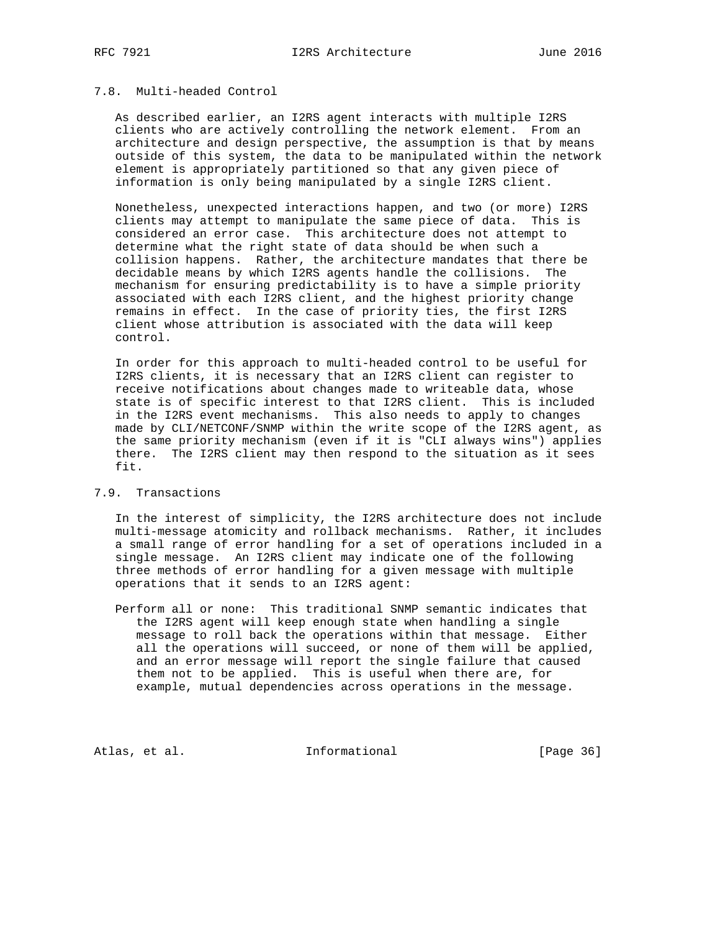# 7.8. Multi-headed Control

 As described earlier, an I2RS agent interacts with multiple I2RS clients who are actively controlling the network element. From an architecture and design perspective, the assumption is that by means outside of this system, the data to be manipulated within the network element is appropriately partitioned so that any given piece of information is only being manipulated by a single I2RS client.

 Nonetheless, unexpected interactions happen, and two (or more) I2RS clients may attempt to manipulate the same piece of data. This is considered an error case. This architecture does not attempt to determine what the right state of data should be when such a collision happens. Rather, the architecture mandates that there be decidable means by which I2RS agents handle the collisions. The mechanism for ensuring predictability is to have a simple priority associated with each I2RS client, and the highest priority change remains in effect. In the case of priority ties, the first I2RS client whose attribution is associated with the data will keep control.

 In order for this approach to multi-headed control to be useful for I2RS clients, it is necessary that an I2RS client can register to receive notifications about changes made to writeable data, whose state is of specific interest to that I2RS client. This is included in the I2RS event mechanisms. This also needs to apply to changes made by CLI/NETCONF/SNMP within the write scope of the I2RS agent, as the same priority mechanism (even if it is "CLI always wins") applies there. The I2RS client may then respond to the situation as it sees fit.

#### 7.9. Transactions

 In the interest of simplicity, the I2RS architecture does not include multi-message atomicity and rollback mechanisms. Rather, it includes a small range of error handling for a set of operations included in a single message. An I2RS client may indicate one of the following three methods of error handling for a given message with multiple operations that it sends to an I2RS agent:

 Perform all or none: This traditional SNMP semantic indicates that the I2RS agent will keep enough state when handling a single message to roll back the operations within that message. Either all the operations will succeed, or none of them will be applied, and an error message will report the single failure that caused them not to be applied. This is useful when there are, for example, mutual dependencies across operations in the message.

Atlas, et al. 1nformational [Page 36]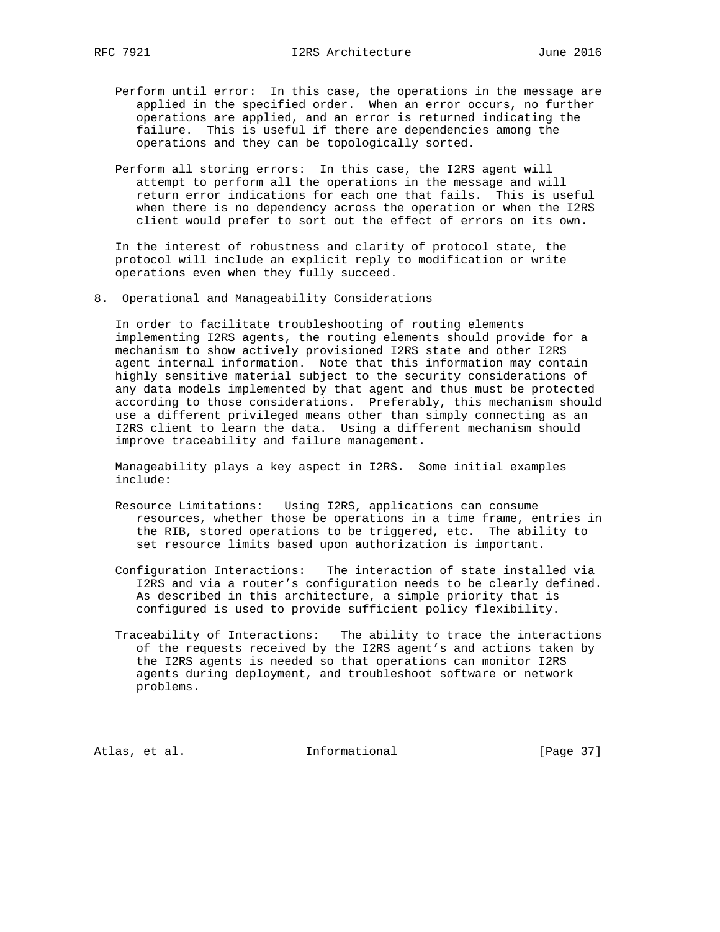- Perform until error: In this case, the operations in the message are applied in the specified order. When an error occurs, no further operations are applied, and an error is returned indicating the failure. This is useful if there are dependencies among the operations and they can be topologically sorted.
- Perform all storing errors: In this case, the I2RS agent will attempt to perform all the operations in the message and will return error indications for each one that fails. This is useful when there is no dependency across the operation or when the I2RS client would prefer to sort out the effect of errors on its own.

 In the interest of robustness and clarity of protocol state, the protocol will include an explicit reply to modification or write operations even when they fully succeed.

8. Operational and Manageability Considerations

 In order to facilitate troubleshooting of routing elements implementing I2RS agents, the routing elements should provide for a mechanism to show actively provisioned I2RS state and other I2RS agent internal information. Note that this information may contain highly sensitive material subject to the security considerations of any data models implemented by that agent and thus must be protected according to those considerations. Preferably, this mechanism should use a different privileged means other than simply connecting as an I2RS client to learn the data. Using a different mechanism should improve traceability and failure management.

 Manageability plays a key aspect in I2RS. Some initial examples include:

- Resource Limitations: Using I2RS, applications can consume resources, whether those be operations in a time frame, entries in the RIB, stored operations to be triggered, etc. The ability to set resource limits based upon authorization is important.
- Configuration Interactions: The interaction of state installed via I2RS and via a router's configuration needs to be clearly defined. As described in this architecture, a simple priority that is configured is used to provide sufficient policy flexibility.
- Traceability of Interactions: The ability to trace the interactions of the requests received by the I2RS agent's and actions taken by the I2RS agents is needed so that operations can monitor I2RS agents during deployment, and troubleshoot software or network problems.

Atlas, et al. 1nformational [Page 37]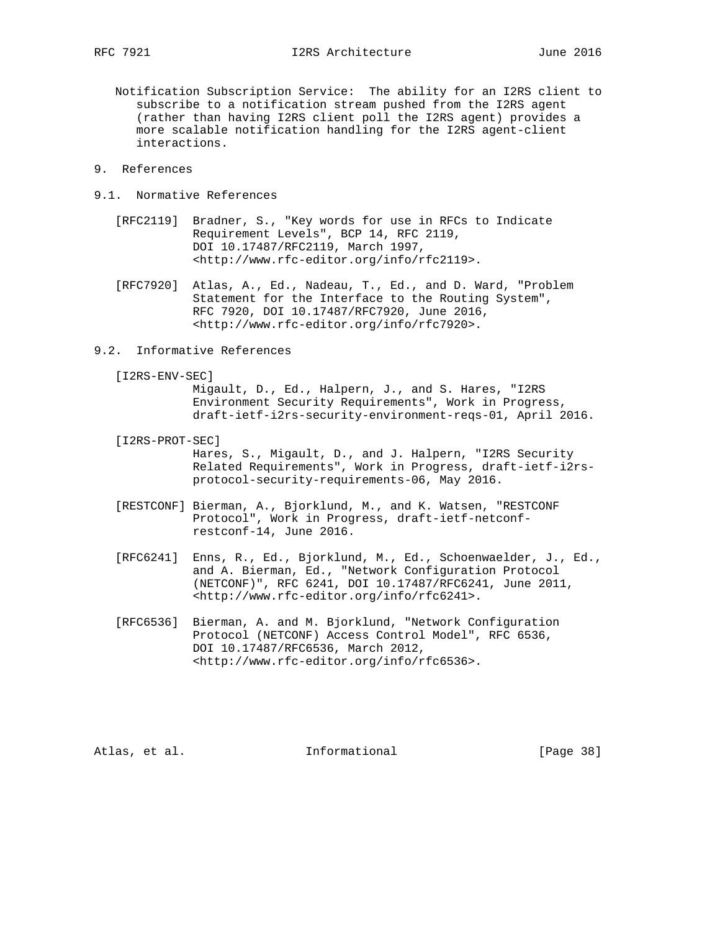- Notification Subscription Service: The ability for an I2RS client to subscribe to a notification stream pushed from the I2RS agent (rather than having I2RS client poll the I2RS agent) provides a more scalable notification handling for the I2RS agent-client interactions.
- 9. References
- 9.1. Normative References
	- [RFC2119] Bradner, S., "Key words for use in RFCs to Indicate Requirement Levels", BCP 14, RFC 2119, DOI 10.17487/RFC2119, March 1997, <http://www.rfc-editor.org/info/rfc2119>.
	- [RFC7920] Atlas, A., Ed., Nadeau, T., Ed., and D. Ward, "Problem Statement for the Interface to the Routing System", RFC 7920, DOI 10.17487/RFC7920, June 2016, <http://www.rfc-editor.org/info/rfc7920>.
- 9.2. Informative References
	- [I2RS-ENV-SEC]

 Migault, D., Ed., Halpern, J., and S. Hares, "I2RS Environment Security Requirements", Work in Progress, draft-ietf-i2rs-security-environment-reqs-01, April 2016.

- [I2RS-PROT-SEC] Hares, S., Migault, D., and J. Halpern, "I2RS Security Related Requirements", Work in Progress, draft-ietf-i2rs protocol-security-requirements-06, May 2016.
- [RESTCONF] Bierman, A., Bjorklund, M., and K. Watsen, "RESTCONF Protocol", Work in Progress, draft-ietf-netconf restconf-14, June 2016.
- [RFC6241] Enns, R., Ed., Bjorklund, M., Ed., Schoenwaelder, J., Ed., and A. Bierman, Ed., "Network Configuration Protocol (NETCONF)", RFC 6241, DOI 10.17487/RFC6241, June 2011, <http://www.rfc-editor.org/info/rfc6241>.
	- [RFC6536] Bierman, A. and M. Bjorklund, "Network Configuration Protocol (NETCONF) Access Control Model", RFC 6536, DOI 10.17487/RFC6536, March 2012, <http://www.rfc-editor.org/info/rfc6536>.

Atlas, et al. Informational [Page 38]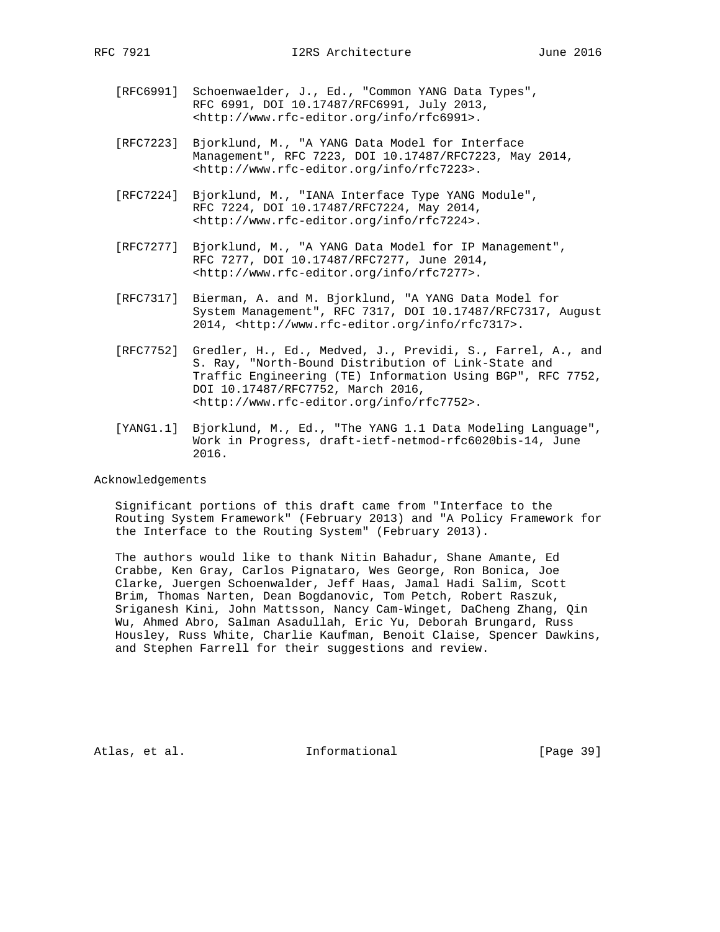- [RFC6991] Schoenwaelder, J., Ed., "Common YANG Data Types", RFC 6991, DOI 10.17487/RFC6991, July 2013, <http://www.rfc-editor.org/info/rfc6991>.
- [RFC7223] Bjorklund, M., "A YANG Data Model for Interface Management", RFC 7223, DOI 10.17487/RFC7223, May 2014, <http://www.rfc-editor.org/info/rfc7223>.
- [RFC7224] Bjorklund, M., "IANA Interface Type YANG Module", RFC 7224, DOI 10.17487/RFC7224, May 2014, <http://www.rfc-editor.org/info/rfc7224>.
- [RFC7277] Bjorklund, M., "A YANG Data Model for IP Management", RFC 7277, DOI 10.17487/RFC7277, June 2014, <http://www.rfc-editor.org/info/rfc7277>.
- [RFC7317] Bierman, A. and M. Bjorklund, "A YANG Data Model for System Management", RFC 7317, DOI 10.17487/RFC7317, August 2014, <http://www.rfc-editor.org/info/rfc7317>.
- [RFC7752] Gredler, H., Ed., Medved, J., Previdi, S., Farrel, A., and S. Ray, "North-Bound Distribution of Link-State and Traffic Engineering (TE) Information Using BGP", RFC 7752, DOI 10.17487/RFC7752, March 2016, <http://www.rfc-editor.org/info/rfc7752>.
- [YANG1.1] Bjorklund, M., Ed., "The YANG 1.1 Data Modeling Language", Work in Progress, draft-ietf-netmod-rfc6020bis-14, June 2016.

#### Acknowledgements

 Significant portions of this draft came from "Interface to the Routing System Framework" (February 2013) and "A Policy Framework for the Interface to the Routing System" (February 2013).

 The authors would like to thank Nitin Bahadur, Shane Amante, Ed Crabbe, Ken Gray, Carlos Pignataro, Wes George, Ron Bonica, Joe Clarke, Juergen Schoenwalder, Jeff Haas, Jamal Hadi Salim, Scott Brim, Thomas Narten, Dean Bogdanovic, Tom Petch, Robert Raszuk, Sriganesh Kini, John Mattsson, Nancy Cam-Winget, DaCheng Zhang, Qin Wu, Ahmed Abro, Salman Asadullah, Eric Yu, Deborah Brungard, Russ Housley, Russ White, Charlie Kaufman, Benoit Claise, Spencer Dawkins, and Stephen Farrell for their suggestions and review.

Atlas, et al. 1nformational [Page 39]